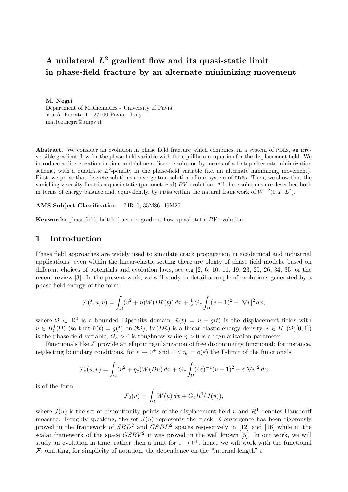# A unilateral  $L^2$  gradient flow and its quasi-static limit in phase-field fracture by an alternate minimizing movement

M. Negri Department of Mathematics - University of Pavia Via A. Ferrata 1 - 27100 Pavia - Italy matteo.negri@unipv.it

Abstract. We consider an evolution in phase field fracture which combines, in a system of PDEs, an irreversible gradient-flow for the phase-field variable with the equilibrium equation for the displacement field. We introduce a discretization in time and define a discrete solution by means of a 1-step alternate minimization scheme, with a quadratic  $L^2$ -penalty in the phase-field variable (i.e. an alternate minimizing movement). First, we prove that discrete solutions converge to a solution of our system of PDEs. Then, we show that the vanishing viscosity limit is a quasi-static (parametrized) BV -evolution. All these solutions are described both in terms of energy balance and, equivalently, by PDEs within the natural framework of  $W^{1,2}(0,T;L^2)$ .

#### AMS Subject Classification. 74R10, 35M86, 49M25

Keywords: phase-field, brittle fracture, gradient flow, quasi-static BV -evolution.

## <span id="page-0-0"></span>1 Introduction

Phase field approaches are widely used to simulate crack propagation in academical and industrial applications: even within the linear-elastic setting there are plenty of phase field models, based on different choices of potentials and evolution laws, see e.g  $[2, 6, 10, 11, 19, 23, 25, 26, 34, 35]$  $[2, 6, 10, 11, 19, 23, 25, 26, 34, 35]$  $[2, 6, 10, 11, 19, 23, 25, 26, 34, 35]$  $[2, 6, 10, 11, 19, 23, 25, 26, 34, 35]$  $[2, 6, 10, 11, 19, 23, 25, 26, 34, 35]$  $[2, 6, 10, 11, 19, 23, 25, 26, 34, 35]$  $[2, 6, 10, 11, 19, 23, 25, 26, 34, 35]$  $[2, 6, 10, 11, 19, 23, 25, 26, 34, 35]$  $[2, 6, 10, 11, 19, 23, 25, 26, 34, 35]$  $[2, 6, 10, 11, 19, 23, 25, 26, 34, 35]$  $[2, 6, 10, 11, 19, 23, 25, 26, 34, 35]$  $[2, 6, 10, 11, 19, 23, 25, 26, 34, 35]$  $[2, 6, 10, 11, 19, 23, 25, 26, 34, 35]$  $[2, 6, 10, 11, 19, 23, 25, 26, 34, 35]$  $[2, 6, 10, 11, 19, 23, 25, 26, 34, 35]$  $[2, 6, 10, 11, 19, 23, 25, 26, 34, 35]$  $[2, 6, 10, 11, 19, 23, 25, 26, 34, 35]$  $[2, 6, 10, 11, 19, 23, 25, 26, 34, 35]$  or the recent review [\[3\]](#page-29-4). In the present work, we will study in detail a couple of evolutions generated by a phase-field energy of the form

$$
\mathcal{F}(t, u, v) = \int_{\Omega} (v^2 + \eta) W(D\tilde{u}(t)) dx + \frac{1}{2} G_c \int_{\Omega} (v - 1)^2 + |\nabla v|^2 dx,
$$

where  $\Omega \subset \mathbb{R}^2$  is a bounded Lipschitz domain,  $\tilde{u}(t) = u + g(t)$  is the displacement fields with  $u \in H_0^1(\Omega)$  (so that  $\tilde{u}(t) = g(t)$  on  $\partial\Omega$ ),  $W(D\tilde{u})$  is a linear elastic energy density,  $v \in H^1(\Omega; [0,1])$ is the phase field variable,  $G_c > 0$  is toughness while  $\eta > 0$  is a regularization parameter.

Functionals like  $\mathcal F$  provide an elliptic regularization of free discontinuity functional: for instance, neglecting boundary conditions, for  $\varepsilon \to 0^+$  and  $0 < \eta_{\varepsilon} = o(\varepsilon)$  the *Γ*-limit of the functionals

$$
\mathcal{F}_{\varepsilon}(u,v) = \int_{\Omega} (v^2 + \eta_{\varepsilon}) W(Du) \, dx + G_c \int_{\Omega} (4\varepsilon)^{-1} (v - 1)^2 + \varepsilon |\nabla v|^2 \, dx
$$

is of the form

$$
\mathcal{F}_0(u) = \int_{\Omega} W(u) \, dx + G_c \mathcal{H}^1(J(u)),
$$

where  $J(u)$  is the set of discontinuity points of the displacement field u and  $\mathcal{H}^1$  denotes Hausdorff measure. Roughly speaking, the set  $J(u)$  represents the crack. Convergence has been rigorously proved in the framework of  $SBD^2$  and  $GSBD^2$  spaces respectively in [\[12\]](#page-29-5) and [\[16\]](#page-29-6) while in the scalar framework of the space  $GSBV^2$  it was proved in the well known [\[5\]](#page-29-7). In our work, we will study an evolution in time, rather then a limit for  $\varepsilon \to 0^+$ , hence we will work with the functional F, omitting, for simplicity of notation, the dependence on the "internal length"  $\varepsilon$ .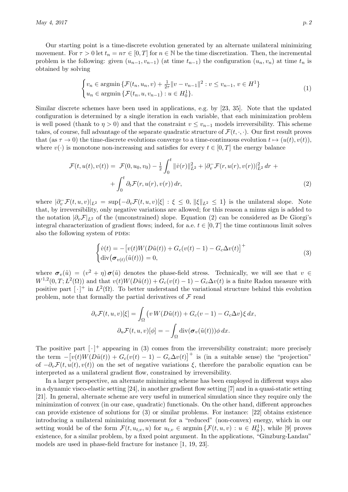Our starting point is a time-discrete evolution generated by an alternate unilateral minimizing movement. For  $\tau > 0$  let  $t_n = n\tau \in [0, T]$  for  $n \in \mathbb{N}$  be the time discretization. Then, the incremental problem is the following: given  $(u_{n-1}, v_{n-1})$  (at time  $t_{n-1}$ ) the configuration  $(u_n, v_n)$  at time  $t_n$  is obtained by solving

<span id="page-1-2"></span>
$$
\begin{cases} v_n \in \text{argmin} \left\{ \mathcal{F}(t_n, u_n, v) + \frac{1}{2\tau} ||v - v_{n-1}||^2 : v \le v_{n-1}, v \in H^1 \right\} \\ u_n \in \text{argmin} \left\{ \mathcal{F}(t_n, u, v_{n-1}) : u \in H_0^1 \right\}. \end{cases} \tag{1}
$$

Similar discrete schemes have been used in applications, e.g. by [\[23,](#page-30-1) [35\]](#page-30-5). Note that the updated configuration is determined by a single iteration in each variable, that each minimization problem is well posed (thank to  $\eta > 0$ ) and that the constraint  $v \le v_{n-1}$  models irreversibility. This scheme takes, of course, full advantage of the separate quadratic structure of  $\mathcal{F}(t, \cdot, \cdot)$ . Our first result proves that (as  $\tau \to 0$ ) the time-discrete evolutions converge to a time-continuous evolution  $t \mapsto (u(t), v(t)),$ where  $v(\cdot)$  is monotone non-increasing and satisfies for every  $t \in [0, T]$  the energy balance

$$
\mathcal{F}(t, u(t), v(t)) = \mathcal{F}(0, u_0, v_0) - \frac{1}{2} \int_0^t ||\dot{v}(r)||_{L^2}^2 + |\partial_v^-\mathcal{F}(r, u(r), v(r))|_{L^2}^2 dr + \int_0^t \partial_t \mathcal{F}(r, u(r), v(r)) dr,
$$
\n(2)

where  $|\partial_v^-\mathcal{F}(t,u,v)|_{L^2} = \sup\{-\partial_v\mathcal{F}(t,u,v)[\xi] : \xi \leq 0, \|\xi\|_{L^2} \leq 1\}$  is the unilateral slope. Note that, by irreversibility, only negative variations are allowed; for this reason a minus sign is added to the notation  $|\partial_v \mathcal{F}|_{L^2}$  of the (unconstrained) slope. Equation [\(2\)](#page-1-0) can be considered as De Giorgi's integral characterization of gradient flows; indeed, for a.e.  $t \in [0, T]$  the time continuous limit solves also the following system of PDEs:

<span id="page-1-1"></span><span id="page-1-0"></span>
$$
\begin{cases}\n\dot{v}(t) = -\left[v(t)W(D\tilde{u}(t)) + G_c(v(t) - 1) - G_c\Delta v(t)\right]^+\n\\ \n\text{div}\left(\sigma_{v(t)}(\tilde{u}(t))\right) = 0,\n\end{cases} \tag{3}
$$

where  $\sigma_v(\tilde{u}) = (v^2 + \eta)\sigma(\tilde{u})$  denotes the phase-field stress. Technically, we will see that  $v \in$  $W^{1,2}(0,T;L^2(\Omega))$  and that  $v(t)W(D\tilde{u}(t)) + G_c(v(t)-1) - G_c\Delta v(t)$  is a finite Radon measure with positive part  $\lceil \cdot \rceil^+$  in  $L^2(\Omega)$ . To better understand the variational structure behind this evolution problem, note that formally the partial derivatives of  $\mathcal F$  read

$$
\partial_v \mathcal{F}(t, u, v)[\xi] = \int_{\Omega} \left( v \, W(D\tilde{u}(t)) + G_c(v - 1) - G_c \Delta v \right) \xi \, dx,
$$

$$
\partial_u \mathcal{F}(t, u, v)[\phi] = - \int_{\Omega} \text{div}(\sigma_v(\tilde{u}(t))) \phi \, dx.
$$

The positive part  $\lceil \cdot \rceil^+$  appearing in [\(3\)](#page-1-1) comes from the irreversibility constraint; more precisely the term  $-[v(t)W(D\tilde{u}(t)) + G_c(v(t) - 1) - G_c\Delta v(t)]^+$  is (in a suitable sense) the "projection" of  $-\partial_v \mathcal{F}(t, u(t), v(t))$  on the set of negative variations  $\xi$ , therefore the parabolic equation can be interpreted as a unilateral gradient flow, constrained by irreversibility.

In a larger perspective, an alternate minimizing scheme has been employed in different ways also in a dynamic visco-elastic setting [\[24\]](#page-30-6), in another gradient flow setting [\[7\]](#page-29-8) and in a quasi-static setting [\[21\]](#page-30-7). In general, alternate scheme are very useful in numerical simulation since they require only the minimization of convex (in our case, quadratic) functionals. On the other hand, different approaches can provide existence of solutions for [\(3\)](#page-1-1) or similar problems. For instance: [\[22\]](#page-30-8) obtains existence introducing a unilateral minimizing movement for a "reduced" (non-convex) energy, which in our setting would be of the form  $\mathcal{F}(t, u_{t,v}, u)$  for  $u_{t,v} \in \text{argmin}\,\{\mathcal{F}(t, u, v) : u \in H_0^1\}$ , while [\[9\]](#page-29-9) proves existence, for a similar problem, by a fixed point argument. In the applications, "Ginzburg-Landau" models are used in phase-field fracture for instance [\[1,](#page-29-10) [19,](#page-30-0) [23\]](#page-30-1).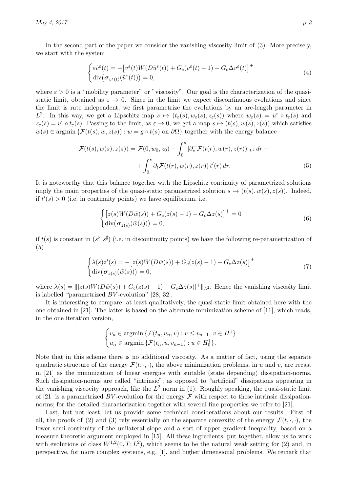$\text{May } 4, 2017$  p. 3

In the second part of the paper we consider the vanishing viscosity limit of [\(3\)](#page-1-1). More precisely, we start with the system

$$
\begin{cases} \varepsilon \dot{v}^{\varepsilon}(t) = -\left[v^{\varepsilon}(t)W(D\tilde{u}^{\varepsilon}(t)) + G_{c}(v^{\varepsilon}(t) - 1) - G_{c}\Delta v^{\varepsilon}(t)\right]^{+} \\ \operatorname{div}(\boldsymbol{\sigma}_{v^{\varepsilon}(t)}(\tilde{u}^{\varepsilon}(t))) = 0, \end{cases}
$$
\n(4)

where  $\varepsilon > 0$  is a "mobility parameter" or "viscosity". Our goal is the characterization of the quasistatic limit, obtained as  $\varepsilon \to 0$ . Since in the limit we expect discontinuous evolutions and since the limit is rate independent, we first parametrize the evolutions by an arc-length parameter in  $L^2$ . In this way, we get a Lipschitz map  $s \mapsto (t_\varepsilon(s), w_\varepsilon(s), z_\varepsilon(s))$  where  $w_\varepsilon(s) = u^\varepsilon \circ t_\varepsilon(s)$  and  $z_{\varepsilon}(s) = v^{\varepsilon} \circ t_{\varepsilon}(s)$ . Passing to the limit, as  $\varepsilon \to 0$ , we get a map  $s \mapsto (t(s), w(s), z(s))$  which satisfies  $w(s) \in \operatorname{argmin} \{ \mathcal{F}(t(s), w, z(s)) : w = q \circ t(s) \text{ on } \partial \Omega \}$  together with the energy balance

$$
\mathcal{F}(t(s), w(s), z(s)) = \mathcal{F}(0, w_0, z_0) - \int_0^s |\partial_z^-\mathcal{F}(t(r), w(r), z(r))|_{L^2} dr + \int_0^s \partial_t \mathcal{F}(t(r), w(r), z(r)) t'(r) dr.
$$
\n
$$
(5)
$$

It is noteworthy that this balance together with the Lipschitz continuity of parametrized solutions imply the main properties of the quasi-static parametrized solution  $s \mapsto (t(s), w(s), z(s))$ . Indeed, if  $t'(s) > 0$  (i.e. in continuity points) we have equilibrium, i.e.

<span id="page-2-1"></span><span id="page-2-0"></span>
$$
\begin{cases}\n[z(s)W(D\tilde{w}(s)) + G_c(z(s) - 1) - G_c\Delta z(s)]^+ = 0\\ \text{div}(\sigma_{z(s)}(\tilde{w}(s))) = 0,\n\end{cases}
$$
\n(6)

if  $t(s)$  is constant in  $(s^{\flat}, s^{\sharp})$  (i.e. in discontinuity points) we have the following re-parametrization of [\(5\)](#page-2-0)

$$
\begin{cases}\n\lambda(s)z'(s) = -[z(s)W(D\tilde{w}(s)) + G_c(z(s) - 1) - G_c\Delta z(s)]^+\n\\ \n\text{div}(\sigma_{z(s)}(\tilde{w}(s))) = 0,\n\end{cases}
$$
\n(7)

where  $\lambda(s) = ||[z(s)W(D\tilde{w}(s)) + G_c(z(s) - 1) - G_c\Delta z(s)]^+||_{L^2}$ . Hence the vanishing viscosity limit is labelled "parametrized BV -evolution" [\[28,](#page-30-9) [32\]](#page-30-10).

It is interesting to compare, at least qualitatively, the quasi-static limit obtained here with the one obtained in [\[21\]](#page-30-7). The latter is based on the alternate minimization scheme of [\[11\]](#page-29-3), which reads, in the one iteration version,

$$
\begin{cases} v_n \in \text{argmin} \left\{ \mathcal{F}(t_n, u_n, v) : v \le v_{n-1}, v \in H^1 \right\} \\ u_n \in \text{argmin} \left\{ \mathcal{F}(t_n, u, v_{n-1}) : u \in H_0^1 \right\} .\end{cases}
$$

Note that in this scheme there is no additional viscosity. As a matter of fact, using the separate quadratic structure of the energy  $\mathcal{F}(t, \cdot, \cdot)$ , the above minimization problems, in u and v, are recast in [\[21\]](#page-30-7) as the minimization of linear energies with suitable (state depending) dissipation-norms. Such dissipation-norms are called "intrinsic", as opposed to "artificial" dissipations appearing in the vanishing viscocity approach, like the  $L^2$  norm in [\(1\)](#page-1-2). Roughly speaking, the quasi-static limit of [\[21\]](#page-30-7) is a parametrized BV-evolution for the energy  $\mathcal F$  with respect to these intrinsic dissipation-norms; for the detailed characterization together with several fine properties we refer to [\[21\]](#page-30-7).

Last, but not least, let us provide some technical considerations about our results. First of all, the proofs of [\(2\)](#page-1-0) and [\(3\)](#page-1-1) rely essentially on the separate convexity of the energy  $\mathcal{F}(t, \cdot, \cdot)$ , the lower semi-continuity of the unilateral slope and a sort of upper gradient inequality, based on a measure theoretic argument employed in [\[15\]](#page-29-11). All these ingredients, put together, allow us to work with evolutions of class  $W^{1,2}(0,T;L^2)$ , which seems to be the natural weak setting for [\(2\)](#page-1-0) and, in perspective, for more complex systems, e.g. [\[1\]](#page-29-10), and higher dimensional problems. We remark that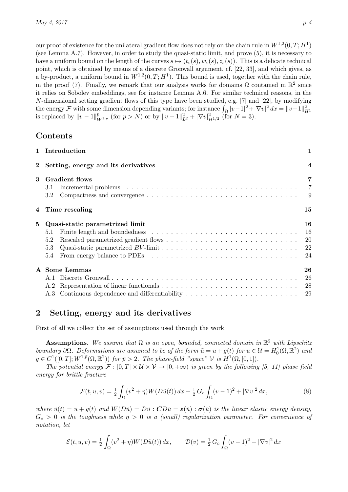our proof of existence for the unilateral gradient flow does not rely on the chain rule in  $W^{1,2}(0,T;H^1)$ (see Lemma [A.7\)](#page-28-0). However, in order to study the quasi-static limit, and prove [\(5\)](#page-2-0), it is necessary to have a uniform bound on the length of the curves  $s \mapsto (t_{\varepsilon}(s), w_{\varepsilon}(s), z_{\varepsilon}(s))$ . This is a delicate technical point, which is obtained by means of a discrete Gronwall argument, cf. [\[22,](#page-30-8) [33\]](#page-30-11), and which gives, as a by-product, a uniform bound in  $W^{1,2}(0,T;H^1)$ . This bound is used, together with the chain rule, in the proof [\(7\)](#page-2-1). Finally, we remark that our analysis works for domains  $\Omega$  contained in  $\mathbb{R}^2$  since it relies on Sobolev embeddings, see for instance Lemma [A.6.](#page-28-1) For similar technical reasons, in the N-dimensional setting gradient flows of this type have been studied, e.g. [\[7\]](#page-29-8) and [\[22\]](#page-30-8), by modifying the energy F with some dimension depending variants; for instance  $\int_{\Omega} |v-1|^2 + |\nabla v|^2 dx = ||v-1||_{H^1}^2$ <br>is replaced by  $||v-1||_{W^{1,p}}^p$  (for  $p > N$ ) or by  $||v-1||_{L^2}^2 + |\nabla v|_{H^{1/2}}^2$  (for  $N = 3$ ).

## Contents

|              | 1 Introduction                                                                                                                                                                           | 1                       |
|--------------|------------------------------------------------------------------------------------------------------------------------------------------------------------------------------------------|-------------------------|
| $\mathbf{2}$ | Setting, energy and its derivatives                                                                                                                                                      | $\overline{\mathbf{4}}$ |
| 3            | <b>Gradient flows</b><br>3.1<br>3.2                                                                                                                                                      | $\overline{7}$          |
|              | 4 Time rescaling                                                                                                                                                                         | $15\,$                  |
| 5            | Quasi-static parametrized limit<br>Finite length and boundedness $\ldots \ldots \ldots \ldots \ldots \ldots \ldots \ldots \ldots \ldots \ldots 16$<br>5.1<br>5.2<br>5.3<br>$5.4^{\circ}$ | 16                      |
|              | A Some Lemmas                                                                                                                                                                            | 26                      |

## <span id="page-3-0"></span>2 Setting, energy and its derivatives

First of all we collect the set of assumptions used through the work.

**Assumptions.** We assume that  $\Omega$  is an open, bounded, connected domain in  $\mathbb{R}^2$  with Lipschitz boundary  $\partial\Omega$ . Deformations are assumed to be of the form  $\tilde{u} = u + g(t)$  for  $u \in \mathcal{U} = H_0^1(\Omega, \mathbb{R}^2)$  and  $g \in C^1([0,T]; W^{1,\bar{p}}(\Omega,\mathbb{R}^2))$  for  $\bar{p} > 2$ . The phase-field "space" V is  $H^1(\Omega,[0,1])$ .

The potential energy  $\mathcal{F} : [0, T] \times \mathcal{U} \times \mathcal{V} \to [0, +\infty)$  is given by the following [\[5,](#page-29-7) [11\]](#page-29-3) phase field energy for brittle fracture

$$
\mathcal{F}(t, u, v) = \frac{1}{2} \int_{\Omega} (v^2 + \eta) W(D\tilde{u}(t)) \, dx + \frac{1}{2} \, G_c \int_{\Omega} (v - 1)^2 + |\nabla v|^2 \, dx,\tag{8}
$$

where  $\tilde{u}(t) = u + g(t)$  and  $W(D\tilde{u}) = D\tilde{u}$ :  $CD\tilde{u} = \varepsilon(\tilde{u})$ :  $\sigma(\tilde{u})$  is the linear elastic energy density,  $G_c > 0$  is the toughness while  $\eta > 0$  is a (small) regularization parameter. For convenience of notation, let

$$
\mathcal{E}(t, u, v) = \frac{1}{2} \int_{\Omega} (v^2 + \eta) W(D\tilde{u}(t)) dx, \qquad \mathcal{D}(v) = \frac{1}{2} G_c \int_{\Omega} (v - 1)^2 + |\nabla v|^2 dx
$$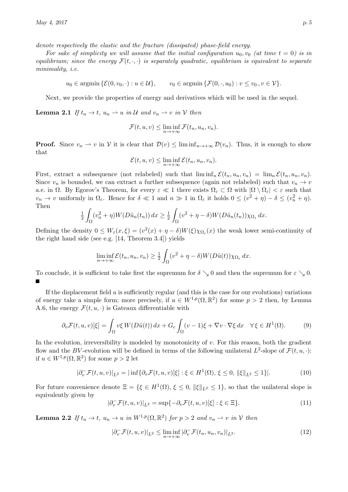denote respectively the elastic and the fracture (dissipated) phase-field energy.

For sake of simplicity we will assume that the initial configuration  $u_0, v_0$  (at time  $t = 0$ ) is in equilibrium; since the energy  $\mathcal{F}(t, \cdot, \cdot)$  is separately quadratic, equilibrium is equivalent to separate minimality, i.e.

 $u_0 \in \operatorname{argmin} \{\mathcal{E}(0, v_0, \cdot) : u \in \mathcal{U}\}, \qquad v_0 \in \operatorname{argmin} \{\mathcal{F}(0, \cdot, u_0) : v \leq v_0, v \in \mathcal{V}\}.$ 

Next, we provide the properties of energy and derivatives which will be used in the sequel.

<span id="page-4-1"></span>**Lemma 2.1** If  $t_n \to t$ ,  $u_n \to u$  in U and  $v_n \to v$  in V then

$$
\mathcal{F}(t, u, v) \leq \liminf_{n \to +\infty} \mathcal{F}(t_n, u_n, v_n).
$$

**Proof.** Since  $v_n \rightharpoonup v$  in V it is clear that  $\mathcal{D}(v) \leq \liminf_{n \to +\infty} \mathcal{D}(v_n)$ . Thus, it is enough to show that

$$
\mathcal{E}(t, u, v) \leq \liminf_{n \to +\infty} \mathcal{E}(t_n, u_n, v_n).
$$

First, extract a subsequence (not relabeled) such that  $\liminf_n \mathcal{E}(t_n, u_n, v_n) = \lim_n \mathcal{E}(t_n, u_n, v_n)$ . Since  $v_n$  is bounded, we can extract a further subsequence (again not relabeled) such that  $v_n \to v$ a.e. in  $\Omega$ . By Egorov's Theorem, for every  $\varepsilon \ll 1$  there exists  $\Omega_{\varepsilon} \subset \Omega$  with  $|\Omega \setminus \Omega_{\varepsilon}| < \varepsilon$  such that  $v_n \to v$  uniformly in  $\Omega_{\varepsilon}$ . Hence for  $\delta \ll 1$  and  $n \gg 1$  in  $\Omega_{\varepsilon}$  it holds  $0 \leq (v^2 + \eta) - \delta \leq (v_n^2 + \eta)$ . Then

$$
\frac{1}{2} \int_{\Omega} (v_n^2 + \eta) W(D\tilde{u}_n(t_n)) dx \geq \frac{1}{2} \int_{\Omega} (v^2 + \eta - \delta) W(D\tilde{u}_n(t_n)) \chi_{\Omega_{\varepsilon}} dx.
$$

Defining the density  $0 \leq W_{\varepsilon}(x,\xi) = (v^2(x) + \eta - \delta)W(\xi)\chi_{\Omega_{\varepsilon}}(x)$  the weak lower semi-continuity of the right hand side (see e.g. [\[14,](#page-29-12) Theorem 3.4]) yields

$$
\liminf_{n \to +\infty} \mathcal{E}(t_n, u_n, v_n) \ge \frac{1}{2} \int_{\Omega} (v^2 + \eta - \delta) W(D\tilde{u}(t)) \chi_{\Omega_{\varepsilon}} dx.
$$

To conclude, it is sufficient to take first the supremum for  $\delta \searrow 0$  and then the supremum for  $\varepsilon \searrow 0$ .  $\blacksquare$ 

If the displacement field  $u$  is sufficiently regular (and this is the case for our evolutions) variations of energy take a simple form; more precisely, if  $u \in W^{1,p}(\Omega,\mathbb{R}^2)$  for some  $p > 2$  then, by Lemma [A.6,](#page-28-1) the energy  $\mathcal{F}(t, u, \cdot)$  is Gateaux differentiable with

$$
\partial_v \mathcal{F}(t, u, v)[\xi] = \int_{\Omega} v\xi W(D\tilde{u}(t)) dx + G_c \int_{\Omega} (v - 1)\xi + \nabla v \cdot \nabla \xi dx \quad \forall \xi \in H^1(\Omega). \tag{9}
$$

In the evolution, irreversibility is modeled by monotonicity of  $v$ . For this reason, both the gradient flow and the BV-evolution will be defined in terms of the following unilateral  $L^2$ -slope of  $\mathcal{F}(t, u, \cdot)$ : if  $u \in W^{1,p}(\Omega,\mathbb{R}^2)$  for some  $p > 2$  let

$$
|\partial_v^-\mathcal{F}(t,u,v)|_{L^2} = |\inf \{ \partial_v \mathcal{F}(t,u,v)[\xi] : \xi \in H^1(\Omega), \xi \le 0, \|\xi\|_{L^2} \le 1 \}|. \tag{10}
$$

For future convenience denote  $\Xi = \{ \xi \in H^1(\Omega), \xi \leq 0, ||\xi||_{L^2} \leq 1 \}$ , so that the unilateral slope is equivalently given by

<span id="page-4-0"></span>
$$
|\partial_v^-\mathcal{F}(t,u,v)|_{L^2} = \sup\{-\partial_v\mathcal{F}(t,u,v)[\xi] : \xi \in \Xi\}.
$$
\n(11)

<span id="page-4-2"></span>**Lemma 2.2** If  $t_n \to t$ ,  $u_n \to u$  in  $W^{1,p}(\Omega, \mathbb{R}^2)$  for  $p > 2$  and  $v_n \to v$  in  $V$  then

$$
|\partial_v^{\top} \mathcal{F}(t, u, v)|_{L^2} \le \liminf_{n \to +\infty} |\partial_v^{\top} \mathcal{F}(t_n, u_n, v_n)|_{L^2}.
$$
\n(12)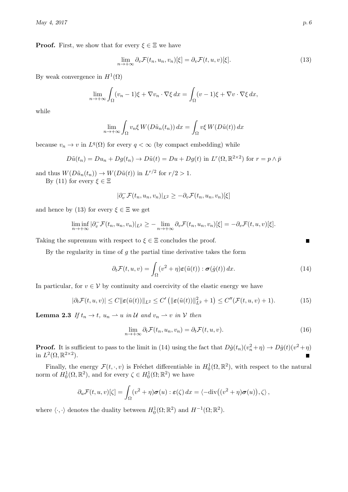**Proof.** First, we show that for every  $\xi \in \Xi$  we have

<span id="page-5-0"></span>
$$
\lim_{n \to +\infty} \partial_v \mathcal{F}(t_n, u_n, v_n)[\xi] = \partial_v \mathcal{F}(t, u, v)[\xi]. \tag{13}
$$

By weak convergence in  $H^1(\Omega)$ 

$$
\lim_{n \to +\infty} \int_{\Omega} (v_n - 1)\xi + \nabla v_n \cdot \nabla \xi \, dx = \int_{\Omega} (v - 1)\xi + \nabla v \cdot \nabla \xi \, dx,
$$

while

$$
\lim_{n \to +\infty} \int_{\Omega} v_n \xi W(D\tilde{u}_n(t_n)) dx = \int_{\Omega} v \xi W(D\tilde{u}(t)) dx
$$

because  $v_n \to v$  in  $L^q(\Omega)$  for every  $q < \infty$  (by compact embedding) while

$$
D\tilde{u}(t_n) = Du_n + Dg(t_n) \to D\tilde{u}(t) = Du + Dg(t) \text{ in } L^r(\Omega, \mathbb{R}^{2 \times 2}) \text{ for } r = p \wedge \bar{p}
$$

and thus  $W(D\tilde{u}_n(t_n)) \to W(D\tilde{u}(t))$  in  $L^{r/2}$  for  $r/2 > 1$ .

By [\(11\)](#page-4-0) for every  $\xi \in \Xi$ 

$$
|\partial_v^{\mathsf{T}} \mathcal{F}(t_n, u_n, v_n)|_{L^2} \geq -\partial_v \mathcal{F}(t_n, u_n, v_n)[\xi]
$$

and hence by [\(13\)](#page-5-0) for every  $\xi \in \Xi$  we get

$$
\liminf_{n\to+\infty} |\partial_v^-\mathcal{F}(t_n,u_n,v_n)|_{L^2} \geq -\lim_{n\to+\infty} \partial_v \mathcal{F}(t_n,u_n,v_n)[\xi] = -\partial_v \mathcal{F}(t,u,v)[\xi].
$$

Taking the supremum with respect to  $\xi \in \Xi$  concludes the proof.

By the regularity in time of  $g$  the partial time derivative takes the form

<span id="page-5-1"></span>
$$
\partial_t \mathcal{F}(t, u, v) = \int_{\Omega} (v^2 + \eta) \varepsilon(\tilde{u}(t)) : \boldsymbol{\sigma}(\dot{g}(t)) dx.
$$
 (14)

In particular, for  $v \in V$  by continuity and coercivity of the elastic energy we have

<span id="page-5-2"></span>
$$
|\partial_t \mathcal{F}(t, u, v)| \le C \|\boldsymbol{\varepsilon}(\tilde{u}(t))\|_{L^2} \le C' \left( \|\boldsymbol{\varepsilon}(\tilde{u}(t))\|_{L^2}^2 + 1 \right) \le C''(\mathcal{F}(t, u, v) + 1).
$$
 (15)

<span id="page-5-3"></span>**Lemma 2.3** If  $t_n \to t$ ,  $u_n \to u$  in U and  $v_n \to v$  in V then

$$
\lim_{n \to +\infty} \partial_t \mathcal{F}(t_n, u_n, v_n) = \partial_t \mathcal{F}(t, u, v).
$$
\n(16)

**Proof.** It is sufficient to pass to the limit in [\(14\)](#page-5-1) using the fact that  $D\dot{g}(t_n)(v_n^2 + \eta) \to D\dot{g}(t)(v^2 + \eta)$ in  $L^2(\Omega,\mathbb{R}^{2\times 2})$ .

Finally, the energy  $\mathcal{F}(t, \cdot, v)$  is Fréchet differentiable in  $H_0^1(\Omega, \mathbb{R}^2)$ , with respect to the natural norm of  $H_0^1(\Omega, \mathbb{R}^2)$ , and for every  $\zeta \in H_0^1(\Omega; \mathbb{R}^2)$  we have

$$
\partial_u \mathcal{F}(t, u, v)[\zeta] = \int_{\Omega} (v^2 + \eta) \sigma(u) : \varepsilon(\zeta) dx = \langle -\mathrm{div}((v^2 + \eta) \sigma(u)), \zeta \rangle,
$$

where  $\langle \cdot, \cdot \rangle$  denotes the duality between  $H_0^1(\Omega; \mathbb{R}^2)$  and  $H^{-1}(\Omega; \mathbb{R}^2)$ .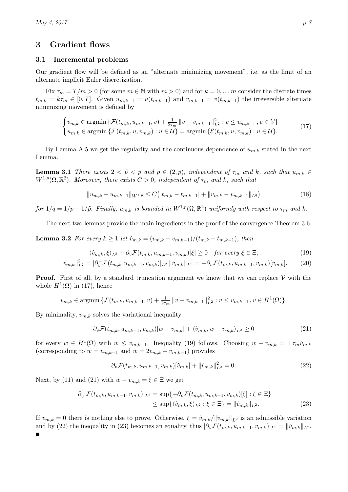## <span id="page-6-0"></span>3 Gradient flows

## <span id="page-6-1"></span>3.1 Incremental problems

Our gradient flow will be defined as an "alternate minimizing movement", i.e. as the limit of an alternate implicit Euler discretization.

Fix  $\tau_m = T/m > 0$  (for some  $m \in \mathbb{N}$  with  $m > 0$ ) and for  $k = 0, ..., m$  consider the discrete times  $t_{m,k} = k\tau_m \in [0,T].$  Given  $u_{m,k-1} = u(t_{m,k-1})$  and  $v_{m,k-1} = v(t_{m,k-1})$  the irreversible alternate minimizing movement is defined by

$$
\begin{cases} v_{m,k} \in \text{argmin} \left\{ \mathcal{F}(t_{m,k}, u_{m,k-1}, v) + \frac{1}{2\tau_m} \left\| v - v_{m,k-1} \right\|_{L^2}^2 : v \le v_{m,k-1}, v \in \mathcal{V} \right\} \\ u_{m,k} \in \text{argmin} \left\{ \mathcal{F}(t_{m,k}, u, v_{m,k}) : u \in \mathcal{U} \right\} = \text{argmin} \left\{ \mathcal{E}(t_{m,k}, u, v_{m,k}) : u \in \mathcal{U} \right\}. \end{cases} \tag{17}
$$

By Lemma [A.5](#page-28-3) we get the regularity and the continuous dependence of  $u_{m,k}$  stated in the next Lemma.

<span id="page-6-9"></span>**Lemma 3.1** There exists  $2 < \tilde{p} < \bar{p}$  and  $p \in (2,\bar{p})$ , independent of  $\tau_m$  and k, such that  $u_{m,k} \in$  $W^{1,p}(\Omega,\mathbb{R}^2)$ . Moreover, there exists  $C>0$ , independent of  $\tau_m$  and k, such that

<span id="page-6-2"></span>
$$
||u_{m,k} - u_{m,k-1}||_{W^{1,p}} \le C\big(|t_{m,k} - t_{m,k-1}| + ||v_{m,k} - v_{m,k-1}||_{L^q}\big) \tag{18}
$$

for  $1/q = 1/p - 1/\tilde{p}$ . Finally,  $u_{m,k}$  is bounded in  $W^{1,p}(\Omega, \mathbb{R}^2)$  uniformly with respect to  $\tau_m$  and k.

The next two lemmas provide the main ingredients in the proof of the convergence Theorem [3.6.](#page-8-1)

<span id="page-6-7"></span>**Lemma 3.2** For every  $k \ge 1$  let  $\dot{v}_{m,k} = (v_{m,k} - v_{m,k-1})/(t_{m,k} - t_{m,k-1})$ , then

<span id="page-6-8"></span><span id="page-6-3"></span>
$$
\langle \dot{v}_{m,k}, \xi \rangle_{L^2} + \partial_v \mathcal{F}(t_{m,k}, u_{m,k-1}, v_{m,k})[\xi] \ge 0 \quad \text{for every } \xi \in \Xi,
$$
\n(19)

$$
\|\dot{v}_{m,k}\|_{L^2}^2 = |\partial_v^{\top} \mathcal{F}(t_{m,k}, u_{m,k-1}, v_{m,k})|_{L^2} \|\dot{v}_{m,k}\|_{L^2} = -\partial_v \mathcal{F}(t_{m,k}, u_{m,k-1}, v_{m,k})[\dot{v}_{m,k}]. \tag{20}
$$

**Proof.** First of all, by a standard truncation argument we know that we can replace  $V$  with the whole  $H^1(\Omega)$  in [\(17\)](#page-6-2), hence

$$
v_{m,k} \in \operatorname{argmin} \{ \mathcal{F}(t_{m,k}, u_{m,k-1}, v) + \frac{1}{2\tau_m} ||v - v_{m,k-1}||_{L^2}^2 : v \le v_{m,k-1}, v \in H^1(\Omega) \}.
$$

By minimality,  $v_{m,k}$  solves the variational inequality

<span id="page-6-4"></span>
$$
\partial_v \mathcal{F}(t_{m,k}, u_{m,k-1}, v_{m,k})[w - v_{m,k}] + \langle \dot{v}_{m,k}, w - v_{m,k} \rangle_{L^2} \ge 0 \tag{21}
$$

for every  $w \in H^1(\Omega)$  with  $w \leq v_{m,k-1}$ . Inequality [\(19\)](#page-6-3) follows. Choosing  $w - v_{m,k} = \pm \tau_m \dot{v}_{m,k}$ (corresponding to  $w = v_{m,k-1}$  and  $w = 2v_{m,k} - v_{m,k-1}$ ) provides

<span id="page-6-6"></span><span id="page-6-5"></span>
$$
\partial_v \mathcal{F}(t_{m,k}, u_{m,k-1}, v_{m,k})[\dot{v}_{m,k}] + ||\dot{v}_{m,k}||_{L^2}^2 = 0.
$$
\n(22)

Next, by [\(11\)](#page-4-0) and [\(21\)](#page-6-4) with  $w - v_{m,k} = \xi \in \Xi$  we get

$$
|\partial_v^-\mathcal{F}(t_{m,k}, u_{m,k-1}, v_{m,k})|_{L^2} = \sup\{-\partial_v \mathcal{F}(t_{m,k}, u_{m,k-1}, v_{m,k})[\xi] : \xi \in \Xi\}
$$
  

$$
\leq \sup\{\langle \dot{v}_{m,k}, \xi \rangle_{L^2} : \xi \in \Xi\} = ||\dot{v}_{m,k}||_{L^2}.
$$
 (23)

If  $\dot{v}_{m,k} = 0$  there is nothing else to prove. Otherwise,  $\xi = \dot{v}_{m,k}/\|\dot{v}_{m,k}\|_{L^2}$  is an admissible variation and by [\(22\)](#page-6-5) the inequality in [\(23\)](#page-6-6) becomes an equality, thus  $|\partial_v \mathcal{F}(t_{m,k}, u_{m,k-1}, v_{m,k})|_{L^2} = ||\dot{v}_{m,k}||_{L^2}$ .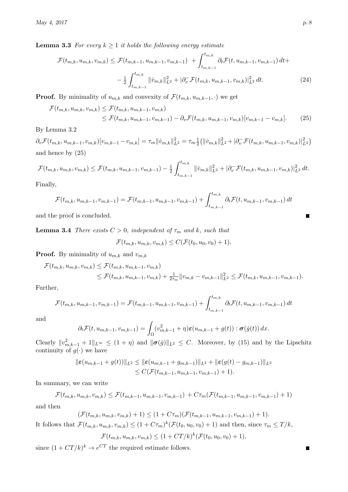**Lemma 3.3** For every  $k \geq 1$  it holds the following energy estimate

$$
\mathcal{F}(t_{m,k}, u_{m,k}, v_{m,k}) \leq \mathcal{F}(t_{m,k-1}, u_{m,k-1}, v_{m,k-1}) + \int_{t_{m,k-1}}^{t_{m,k}} \partial_t \mathcal{F}(t, u_{m,k-1}, v_{m,k-1}) dt +
$$
  

$$
- \frac{1}{2} \int_{t_{m,k-1}}^{t_{m,k}} ||\dot{v}_{m,k}||_{L^2}^2 + |\partial_v \mathcal{F}(t_{m,k}, u_{m,k-1}, v_{m,k})|_{L^2}^2 dt.
$$
 (24)

**Proof.** By minimality of  $u_{m,k}$  and convexity of  $\mathcal{F}(t_{m,k}, u_{m,k-1}, \cdot)$  we get

$$
\mathcal{F}(t_{m,k}, u_{m,k}, v_{m,k}) \leq \mathcal{F}(t_{m,k}, u_{m,k-1}, v_{m,k})
$$
  
\n
$$
\leq \mathcal{F}(t_{m,k}, u_{m,k-1}, v_{m,k-1}) - \partial_v \mathcal{F}(t_{m,k}, u_{m,k-1}, v_{m,k})[v_{m,k-1} - v_{m,k}].
$$
\n(25)

## By Lemma [3.2](#page-6-7)

 $\partial_v \mathcal{F}(t_{m,k}, u_{m,k-1}, v_{m,k}) [v_{m,k-1} - v_{m,k}] = \tau_m ||\dot{v}_{m,k}||^2_{L^2} = \tau_m \frac{1}{2}$  $\frac{1}{2} (||\dot{v}_{m,k}||_{L^2}^2 + |\partial_v^-\mathcal{F}(t_{m,k},u_{m,k-1},v_{m,k})|_{L^2}^2)$ and hence by [\(25\)](#page-7-0)

$$
\mathcal{F}(t_{m,k},u_{m,k},v_{m,k}) \leq \mathcal{F}(t_{m,k},u_{m,k-1},v_{m,k-1}) - \frac{1}{2} \int_{t_{m,k-1}}^{t_{m,k}} ||\dot{v}_{m,k}||_{L^2}^2 + |\partial_v^{\top} \mathcal{F}(t_{m,k},u_{m,k-1},v_{m,k})|_{L^2}^2 dt.
$$

Finally,

$$
\mathcal{F}(t_{m,k}, u_{m,k-1}, v_{m,k-1}) = \mathcal{F}(t_{m,k-1}, u_{m,k-1}, v_{m,k-1}) + \int_{t_{m,k-1}}^{t_{m,k}} \partial_t \mathcal{F}(t, u_{m,k-1}, v_{m,k-1}) dt
$$

and the proof is concluded.

<span id="page-7-1"></span>**Lemma 3.4** There exists  $C > 0$ , independent of  $\tau_m$  and k, such that

$$
\mathcal{F}(t_{m,k}, u_{m,k}, v_{m,k}) \leq C(\mathcal{F}(t_0, u_0, v_0) + 1).
$$

**Proof.** By minimality of  $u_{m,k}$  and  $v_{m,k}$ 

$$
\mathcal{F}(t_{m,k}, u_{m,k}, v_{m,k}) \leq \mathcal{F}(t_{m,k}, u_{m,k-1}, v_{m,k})
$$
  
\n
$$
\leq \mathcal{F}(t_{m,k}, u_{m,k-1}, v_{m,k}) + \frac{1}{2\tau_m} ||v_{m,k} - v_{m,k-1}||_{L^2}^2 \leq \mathcal{F}(t_{m,k}, u_{m,k-1}, v_{m,k-1}).
$$

Further,

$$
\mathcal{F}(t_{m,k}, u_{m,k-1}, v_{m,k-1}) = \mathcal{F}(t_{m,k-1}, u_{m,k-1}, v_{m,k-1}) + \int_{t_{m,k-1}}^{t_{m,k}} \partial_t \mathcal{F}(t, u_{m,k-1}, v_{m,k-1}) dt
$$

and

$$
\partial_t \mathcal{F}(t, u_{m,k-1}, v_{m,k-1}) = \int_{\Omega} (v_{m,k-1}^2 + \eta) \varepsilon(u_{m,k-1} + g(t)) : \boldsymbol{\sigma}(\dot{g}(t)) dx.
$$

Clearly  $||v_{m,k-1}^2 + 1||_{L^{\infty}} \leq (1 + \eta)$  and  $||\boldsymbol{\sigma}(\dot{g})||_{L^2} \leq C$ . Moreover, by [\(15\)](#page-5-2) and by the Lipschitz continuity of  $g(\cdot)$  we have

$$
\|\varepsilon(u_{m,k-1}+g(t))\|_{L^2} \le \|\varepsilon(u_{m,k-1}+g_{m,k-1})\|_{L^2} + \|\varepsilon(g(t)-g_{m,k-1})\|_{L^2}
$$
  

$$
\le C(\mathcal{F}(t_{m,k-1},u_{m,k-1},v_{m,k-1})+1).
$$

In summary, we can write

$$
\mathcal{F}(t_{m,k}, u_{m,k}, v_{m,k}) \leq \mathcal{F}(t_{m,k-1}, u_{m,k-1}, v_{m,k-1}) + C\tau_m(\mathcal{F}(t_{m,k-1}, u_{m,k-1}, v_{m,k-1}) + 1)
$$

and then

$$
(\mathcal{F}(t_{m,k},u_{m,k},v_{m,k})+1) \leq (1+C\tau_m)(\mathcal{F}(t_{m,k-1},u_{m,k-1},v_{m,k-1})+1).
$$

It follows that  $\mathcal{F}(t_{m,k}, u_{m,k}, v_{m,k}) \leq (1 + C\tau_m)^k (\mathcal{F}(t_0, u_0, v_0) + 1)$  and then, since  $\tau_m \leq T/k$ ,

$$
\mathcal{F}(t_{m,k}, u_{m,k}, v_{m,k}) \leq (1 + CT/k)^k (\mathcal{F}(t_0, u_0, v_0) + 1),
$$

since  $(1 + CT/k)^k \rightarrow e^{CT}$  the required estimate follows.

<span id="page-7-2"></span><span id="page-7-0"></span>П

П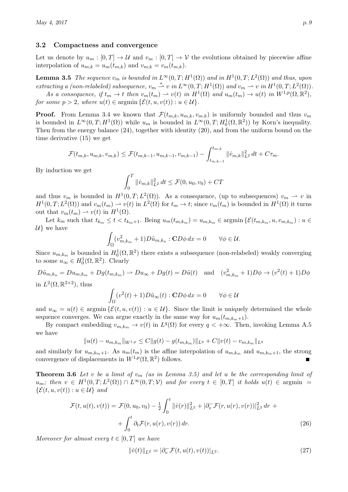#### <span id="page-8-0"></span>3.2 Compactness and convergence

Let us denote by  $u_m : [0, T] \to \mathcal{U}$  and  $v_m : [0, T] \to \mathcal{V}$  the evolutions obtained by piecewise affine interpolation of  $u_{m,k} = u_m(t_{m,k})$  and  $v_{m,k} = v_m(t_{m,k})$ .

<span id="page-8-2"></span>**Lemma 3.5** The sequence  $v_m$  is bounded in  $L^{\infty}(0,T; H^1(\Omega))$  and in  $H^1(0,T; L^2(\Omega))$  and thus, upon extracting a (non-relabeled) subsequence,  $v_m \stackrel{*}{\rightharpoonup} v$  in  $L^{\infty}(0,T;H^1(\Omega))$  and  $v_m \rightharpoonup v$  in  $H^1(0,T;L^2(\Omega))$ .

As a consequence, if  $t_m \to t$  then  $v_m(t_m) \to v(t)$  in  $H^1(\Omega)$  and  $u_m(t_m) \to u(t)$  in  $W^{1,p}(\Omega,\mathbb{R}^2)$ , for some  $p > 2$ , where  $u(t) \in \operatorname{argmin} {\mathcal{E}(t, u, v(t)) : u \in \mathcal{U}}$ .

**Proof.** From Lemma [3.4](#page-7-1) we known that  $\mathcal{F}(t_{m,k}, u_{m,k}, v_{m,k})$  is uniformly bounded and thus  $v_m$ is bounded in  $L^{\infty}(0,T;H^1(\Omega))$  while  $u_m$  is bounded in  $L^{\infty}(0,T;H^1_0(\Omega,\mathbb{R}^2))$  by Korn's inequality. Then from the energy balance [\(24\)](#page-7-2), together with identity [\(20\)](#page-6-8), and from the uniform bound on the time derivative [\(15\)](#page-5-2) we get

$$
\mathcal{F}(t_{m,k}, u_{m,k}, v_{m,k}) \leq \mathcal{F}(t_{m,k-1}, u_{m,k-1}, v_{m,k-1}) - \int_{t_{m,k-1}}^{t_{m,k}} ||\dot{v}_{m,k}||_{L^2}^2 dt + C\tau_m.
$$

By induction we get

$$
\int_0^T \|\dot{v}_{m,k}\|_{L^2}^2 dt \le \mathcal{F}(0, u_0, v_0) + CT
$$

and thus  $v_m$  is bounded in  $H^1(0,T;L^2(\Omega))$ . As a consequence, (up to subsequences)  $v_m \to v$  in  $H^1(0,T;L^2(\Omega))$  and  $v_m(t_m) \rightharpoonup v(t)$  in  $L^2(\Omega)$  for  $t_m \to t$ ; since  $v_m(t_m)$  is bounded in  $H^1(\Omega)$  it turns out that  $v_m(t_m) \rightharpoonup v(t)$  in  $H^1(\Omega)$ .

Let  $k_m$  such that  $t_{k_m} \leq t < t_{k_m+1}$ . Being  $u_m(t_{m,k_m}) = u_{m,k_m} \in \mathop{\rm argmin}\left\{ \mathcal{E}(t_{m,k_m}, u, v_{m,k_m}) : u \in \mathbb{R} \right\}$  $\mathcal{U}$  we have

$$
\int_{\Omega} (v_{m,k_m}^2 + 1) D\tilde{u}_{m,k_n} : \mathbf{C} D\phi \, dx = 0 \qquad \forall \phi \in \mathcal{U}.
$$

Since  $u_{m,k_m}$  is bounded in  $H_0^1(\Omega,\mathbb{R}^2)$  there exists a subsequence (non-relabeled) weakly converging to some  $u_{\infty} \in H_0^1(\Omega, \mathbb{R}^2)$ . Clearly

 $D\tilde{u}_{m,k_n} = D u_{m,k_m} + D g(t_{m,k_m}) \rightharpoonup D u_\infty + D g(t) = D\tilde{u}(t)$  and  $(v_{m,k_m}^2 + 1)D\phi \rightarrow (v^2(t) + 1)D\phi$ in  $L^2(\Omega,\mathbb{R}^{2\times 2})$ , thus

$$
\int_{\Omega} (v^2(t) + 1) D\tilde{u}_{\infty}(t) : \mathbf{C}D\phi \, dx = 0 \qquad \forall \phi \in \mathcal{U}
$$

and  $u_{\infty} = u(t) \in \text{argmin} \{ \mathcal{E}(t, u, v(t)) : u \in \mathcal{U} \}.$  Since the limit is uniquely determined the whole sequence converges. We can argue exactly in the same way for  $u_m(t_{m,k_m+1})$ .

By compact embedding  $v_{m,k_m} \to v(t)$  in  $L^q(\Omega)$  for every  $q < +\infty$ . Then, invoking Lemma [A.5](#page-28-3) we have

$$
||u(t) - u_{m,k_m}||_{W^{1,p}} \leq C||g(t) - g(t_{m,k_m})||_{L^q} + C||v(t) - v_{m,k_m}||_{L^q}
$$

and similarly for  $u_{m,k_m+1}$ . As  $u_m(t_m)$  is the affine interpolation of  $u_{m,k_m}$  and  $u_{m,k_m+1}$ , the strong convergence of displacements in  $W^{1,p}(\Omega,\mathbb{R}^2)$  follows.

<span id="page-8-1"></span>**Theorem 3.6** Let v be a limit of  $v_m$  (as in Lemma [3.5\)](#page-8-2) and let u be the corresponding limit of  $u_m$ ; then  $v \in H^1(0,T;L^2(\Omega)) \cap L^{\infty}(0,T;V)$  and for every  $t \in [0,T]$  it holds  $u(t) \in \text{argmin}$  $\{\mathcal{E}(t, u, v(t)) : u \in \mathcal{U}\}\$ and

$$
\mathcal{F}(t, u(t), v(t)) = \mathcal{F}(0, u_0, v_0) - \frac{1}{2} \int_0^t ||\dot{v}(r)||_{L^2}^2 + |\partial_v^-\mathcal{F}(r, u(r), v(r))|_{L^2}^2 dr + \int_0^t \partial_t \mathcal{F}(r, u(r), v(r)) dr.
$$
\n(26)

Moreover for almost every  $t \in [0, T]$  we have

<span id="page-8-3"></span>
$$
\|\dot{v}(t)\|_{L^2} = |\partial_v^-\mathcal{F}(t, u(t), v(t))|_{L^2}.
$$
\n(27)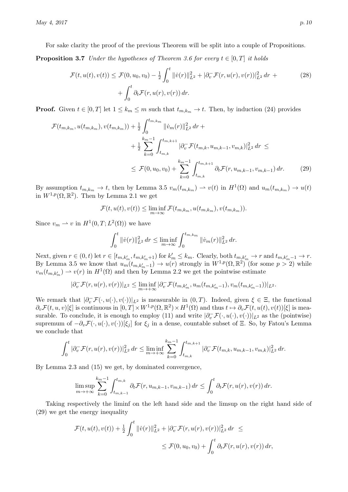For sake clarity the proof of the previous Theorem will be split into a couple of Propositions.

**Proposition 3.7** Under the hypotheses of Theorem [3.6](#page-8-1) for every  $t \in [0, T]$  it holds

$$
\mathcal{F}(t, u(t), v(t)) \le \mathcal{F}(0, u_0, v_0) - \frac{1}{2} \int_0^t ||\dot{v}(r)||^2_{L^2} + |\partial_v^-\mathcal{F}(r, u(r), v(r))|^2_{L^2} dr + \int_0^t \partial_t \mathcal{F}(r, u(r), v(r)) dr.
$$
\n(28)

**Proof.** Given  $t \in [0, T]$  let  $1 \leq k_m \leq m$  such that  $t_{m,k_m} \to t$ . Then, by induction [\(24\)](#page-7-2) provides

$$
\mathcal{F}(t_{m,k_m}, u(t_{m,k_m}), v(t_{m,k_m})) + \frac{1}{2} \int_0^{t_{m,k_m}} \| \dot{v}_m(r) \|_{L^2}^2 dr +
$$
  
+ 
$$
\frac{1}{2} \sum_{k=0}^{k_m-1} \int_{t_{m,k}}^{t_{m,k+1}} |\partial_v^{\top} \mathcal{F}(t_{m,k}, u_{m,k-1}, v_{m,k})|_{L^2}^2 dr \le
$$
  

$$
\leq \mathcal{F}(0, u_0, v_0) + \sum_{k=0}^{k_m-1} \int_{t_{m,k}}^{t_{m,k+1}} \partial_t \mathcal{F}(r, u_{m,k-1}, v_{m,k-1}) dr.
$$
 (29)

By assumption  $t_{m,k_m} \to t$ , then by Lemma [3.5](#page-8-2)  $v_m(t_{m,k_m}) \to v(t)$  in  $H^1(\Omega)$  and  $u_m(t_{m,k_m}) \to u(t)$ in  $W^{1,p}(\Omega,\mathbb{R}^2)$ . Then by Lemma [2.1](#page-4-1) we get

$$
\mathcal{F}(t, u(t), v(t)) \leq \liminf_{m \to \infty} \mathcal{F}(t_{m, k_m}, u(t_{m, k_m}), v(t_{m, k_m})).
$$

Since  $v_m \rightharpoonup v$  in  $H^1(0,T;L^2(\Omega))$  we have

<span id="page-9-0"></span>
$$
\int_0^t \|\dot{v}(r)\|_{L^2}^2 dr \le \liminf_{m \to \infty} \int_0^{t_{m,km}} \|\dot{v}_m(r)\|_{L^2}^2 dr.
$$

Next, given  $r \in (0, t)$  let  $r \in [t_{m, k'_m}, t_{m, k'_m+1})$  for  $k'_m \leq k_m$ . Clearly, both  $t_{m, k'_m} \to r$  and  $t_{m, k'_m-1} \to r$ . By Lemma [3.5](#page-8-2) we know that  $u_m(t_{m,k'_m-1}) \to u(r)$  strongly in  $W^{1,p}(\Omega, \mathbb{R}^2)$  (for some  $p > 2$ ) while  $v_m(t_{m,k'_m}) \rightharpoonup v(r)$  in  $H^1(\Omega)$  and then by Lemma [2.2](#page-4-2) we get the pointwise estimate

$$
|\partial^-_v \mathcal{F}(r, u(r), v(r))|_{L^2} \leq \liminf_{m \to +\infty} |\partial^-_v \mathcal{F}(t_{m, k'_m}, u_m(t_{m, k'_m-1}), v_m(t_{m, k'_m-1}))|_{L^2}.
$$

We remark that  $|\partial_v^-\mathcal{F}(\cdot,u(\cdot),v(\cdot))|_{L^2}$  is measurable in  $(0,T)$ . Indeed, given  $\xi \in \Xi$ , the functional  $\partial_v \mathcal{F}(t, u, v)[\xi]$  is continuous in  $[0, T] \times W^{1,p}(\Omega, \mathbb{R}^2) \times H^1(\Omega)$  and thus  $t \mapsto \partial_v \mathcal{F}(t, u(t), v(t))[\xi]$  is mea-surable. To conclude, it is enough to employ [\(11\)](#page-4-0) and write  $|\partial_v^-\mathcal{F}(\cdot,u(\cdot),v(\cdot))|_{L^2}$  as the (pointwise) supremum of  $-\partial_v \mathcal{F}(\cdot, u(\cdot), v(\cdot))[\xi_i]$  for  $\xi_i$  in a dense, countable subset of Ξ. So, by Fatou's Lemma we conclude that

$$
\int_0^t |\partial_v^-\mathcal{F}(r,u(r),v(r))|_{L^2}^2 dr \leq \liminf_{m\to+\infty} \sum_{k=0}^{k_m-1} \int_{t_{m,k}}^{t_{m,k+1}} |\partial_v^-\mathcal{F}(t_{m,k},u_{m,k-1},v_{m,k})|_{L^2}^2 dr.
$$

By Lemma [2.3](#page-5-3) and [\(15\)](#page-5-2) we get, by dominated convergence,

$$
\limsup_{m\to+\infty}\sum_{k=0}^{k_m-1}\int_{t_{m,k-1}}^{t_{m,k}}\partial_t\mathcal{F}(r,u_{m,k-1},v_{m,k-1})\,dr\leq \int_0^t\partial_t\mathcal{F}(r,u(r),v(r))\,dr.
$$

Taking respectively the liminf on the left hand side and the limsup on the right hand side of [\(29\)](#page-9-0) we get the energy inequality

$$
\mathcal{F}(t, u(t), v(t)) + \frac{1}{2} \int_0^t ||\dot{v}(r)||_{L^2}^2 + |\partial_v^-\mathcal{F}(r, u(r), v(r))|_{L^2}^2 dr \le
$$
  

$$
\leq \mathcal{F}(0, u_0, v_0) + \int_0^t \partial_t \mathcal{F}(r, u(r), v(r)) dr,
$$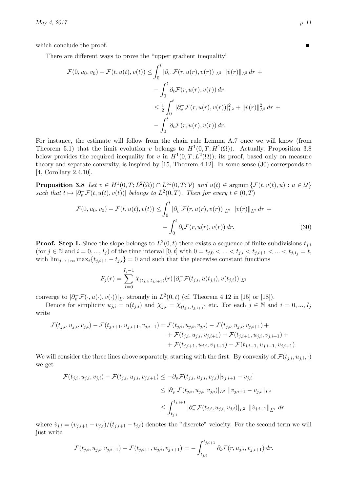which conclude the proof.

There are different ways to prove the "upper gradient inequality"

$$
\mathcal{F}(0, u_0, v_0) - \mathcal{F}(t, u(t), v(t)) \le \int_0^t |\partial_v^-\mathcal{F}(r, u(r), v(r))|_{L^2} ||\dot{v}(r)||_{L^2} dr +
$$
  

$$
- \int_0^t \partial_t \mathcal{F}(r, u(r), v(r)) dr
$$
  

$$
\le \frac{1}{2} \int_0^t |\partial_v^-\mathcal{F}(r, u(r), v(r))|_{L^2}^2 + ||\dot{v}(r)||_{L^2}^2 dr +
$$
  

$$
- \int_0^t \partial_t \mathcal{F}(r, u(r), v(r)) dr.
$$

For instance, the estimate will follow from the chain rule Lemma [A.7](#page-28-0) once we will know (from Theorem [5.1\)](#page-15-2) that the limit evolution v belongs to  $H^1(0,T;H^1(\Omega))$ . Actually, Proposition [3.8](#page-10-0) below provides the required inequality for v in  $H^1(0,T;L^2(\Omega))$ ; its proof, based only on measure theory and separate convexity, is inspired by [\[15,](#page-29-11) Theorem 4.12]. In some sense [\(30\)](#page-10-1) corresponds to [\[4,](#page-29-13) Corollary 2.4.10].

<span id="page-10-0"></span>**Proposition 3.8** Let  $v \in H^1(0,T; L^2(\Omega)) \cap L^\infty(0,T; \mathcal{V})$  and  $u(t) \in \mathop{\rm argmin}\left\{ \mathcal{F}(t, v(t), u) : u \in \mathcal{U} \right\}$ such that  $t \mapsto |\partial_v^- \mathcal{F}(t, u(t), v(t))|$  belongs to  $L^2(0, T)$ . Then for every  $t \in (0, T)$ 

$$
\mathcal{F}(0, u_0, v_0) - \mathcal{F}(t, u(t), v(t)) \le \int_0^t |\partial_v^-\mathcal{F}(r, u(r), v(r))|_{L^2} ||\dot{v}(r)||_{L^2} dr + - \int_0^t \partial_t \mathcal{F}(r, u(r), v(r)) dr.
$$
\n(30)

**Proof.** Step I. Since the slope belongs to  $L^2(0,t)$  there exists a sequence of finite subdivisions  $t_{j,i}$ (for  $j \in \mathbb{N}$  and  $i = 0, ..., I_j$ ) of the time interval  $[0, t]$  with  $0 = t_{j,0} < ... < t_{j,i} < t_{j,i+1} < ... < t_{j,I_j} = t$ , with  $\lim_{j\to+\infty} \max_i \{t_{j,i+1}-t_{j,i}\}=0$  and such that the piecewise constant functions

$$
F_j(r) = \sum_{i=0}^{I_j - 1} \chi_{(t_{j,i}, t_{j,i+1})}(r) \, |\partial_v^{\top} \mathcal{F}(t_{j,i}, u(t_{j,i}), v(t_{j,i}))|_{L^2}
$$

converge to  $\left|\partial_v^-\mathcal{F}(\cdot,u(\cdot),v(\cdot))\right|_{L^2}$  strongly in  $L^2(0,t)$  (cf. Theorem 4.12 in [\[15\]](#page-29-11) or [\[18\]](#page-29-14)).

Denote for simplicity  $u_{j,i} = u(t_{j,i})$  and  $\chi_{j,i} = \chi_{(t_{i,i}, t_{i,i+1})}$  etc. For each  $j \in \mathbb{N}$  and  $i = 0, ..., I_j$ write

$$
\begin{aligned} \mathcal{F}(t_{j,i},u_{j,i},v_{j,i}) - \mathcal{F}(t_{j,i+1},u_{j,i+1},v_{j,i+1}) &= \mathcal{F}(t_{j,i},u_{j,i},v_{j,i}) - \mathcal{F}(t_{j,i},u_{j,i},v_{j,i+1}) + \\ &+ \mathcal{F}(t_{j,i},u_{j,i},v_{j,i+1}) - \mathcal{F}(t_{j,i+1},u_{j,i},v_{j,i+1}) + \\ &+ \mathcal{F}(t_{j,i+1},u_{j,i},v_{j,i+1}) - \mathcal{F}(t_{j,i+1},u_{j,i+1},v_{j,i+1}). \end{aligned}
$$

We will consider the three lines above separately, starting with the first. By convexity of  $\mathcal{F}(t_{j,i}, u_{j,i}, \cdot)$ we get

$$
\mathcal{F}(t_{j,i}, u_{j,i}, v_{j,i}) - \mathcal{F}(t_{j,i}, u_{j,i}, v_{j,i+1}) \leq -\partial_v \mathcal{F}(t_{j,i}, u_{j,i}, v_{j,i}) [v_{j,i+1} - v_{j,i}]
$$
  
\n
$$
\leq |\partial_v^{\top} \mathcal{F}(t_{j,i}, u_{j,i}, v_{j,i})|_{L^2} ||v_{j,i+1} - v_{j,i}||_{L^2}
$$
  
\n
$$
\leq \int_{t_{j,i}}^{t_{j,i+1}} |\partial_v^{\top} \mathcal{F}(t_{j,i}, u_{j,i}, v_{j,i})|_{L^2} ||\dot{v}_{j,i+1}||_{L^2} dr
$$

where  $\dot{v}_{j,i} = (v_{j,i+1} - v_{j,i})/(t_{j,i+1} - t_{j,i})$  denotes the "discrete" velocity. For the second term we will just write

$$
\mathcal{F}(t_{j,i}, u_{j,i}, v_{j,i+1}) - \mathcal{F}(t_{j,i+1}, u_{j,i}, v_{j,i+1}) = -\int_{t_{j,i}}^{t_{j,i+1}} \partial_t \mathcal{F}(r, u_{j,i}, v_{j,i+1}) dr.
$$

<span id="page-10-1"></span>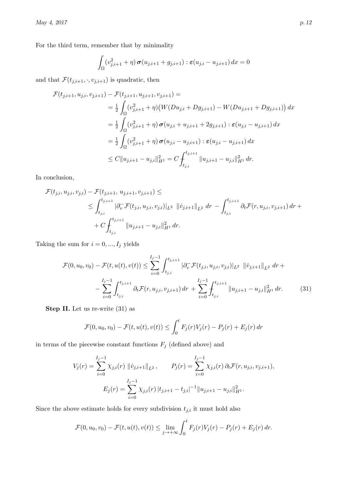For the third term, remember that by minimality

$$
\int_{\Omega} (v_{j,i+1}^2 + \eta) \sigma(u_{j,i+1} + g_{j,i+1}) : \varepsilon(u_{j,i} - u_{j,i+1}) dx = 0
$$

and that  $\mathcal{F}(t_{j,i+1},\cdot,v_{j,i+1})$  is quadratic, then

$$
\mathcal{F}(t_{j,i+1}, u_{j,i}, v_{j,i+1}) - \mathcal{F}(t_{j,i+1}, u_{j,i+1}, v_{j,i+1}) =
$$
\n
$$
= \frac{1}{2} \int_{\Omega} (v_{j,i+1}^2 + \eta) \big( W(Du_{j,i} + Dg_{j,i+1}) - W(Du_{j,i+1} + Dg_{j,i+1}) \big) dx
$$
\n
$$
= \frac{1}{2} \int_{\Omega} (v_{j,i+1}^2 + \eta) \sigma(u_{j,i} + u_{j,i+1} + 2g_{j,i+1}) : \varepsilon(u_{j,i} - u_{j,i+1}) dx
$$
\n
$$
= \frac{1}{2} \int_{\Omega} (v_{j,i+1}^2 + \eta) \sigma(u_{j,i} - u_{j,i+1}) : \varepsilon(u_{j,i} - u_{j,i+1}) dx
$$
\n
$$
\leq C \|u_{j,i+1} - u_{j,i}\|_{H^1}^2 = C \int_{t_{j,i}}^{t_{j,i+1}} \|u_{j,i+1} - u_{j,i}\|_{H^1}^2 dr.
$$

In conclusion,

$$
\mathcal{F}(t_{j,i}, u_{j,i}, v_{j,i}) - \mathcal{F}(t_{j,i+1}, u_{j,i+1}, v_{j,i+1}) \le
$$
\n
$$
\leq \int_{t_{j,i}}^{t_{j,i+1}} |\partial_v^{\top} \mathcal{F}(t_{j,i}, u_{j,i}, v_{j,i})|_{L^2} ||\dot{v}_{j,i+1}||_{L^2} dr - \int_{t_{j,i}}^{t_{j,i+1}} \partial_t \mathcal{F}(r, u_{j,i}, v_{j,i+1}) dr + C \int_{t_{j,i}}^{t_{j,i+1}} ||u_{j,i+1} - u_{j,i}||_{H^1}^2 dr.
$$

Taking the sum for  $i = 0, ..., I_j$  yields

$$
\mathcal{F}(0, u_0, v_0) - \mathcal{F}(t, u(t), v(t)) \le \sum_{i=0}^{I_j - 1} \int_{t_{j,i}}^{t_{j,i+1}} |\partial_v^{\top} \mathcal{F}(t_{j,i}, u_{j,i}, v_{j,i})|_{L^2} ||\dot{v}_{j,i+1}||_{L^2} dr + - \sum_{i=0}^{I_j - 1} \int_{t_{j,i}}^{t_{j,i+1}} \partial_t \mathcal{F}(r, u_{j,i}, v_{j,i+1}) dr + \sum_{i=0}^{I_j - 1} \int_{t_{j,i}}^{t_{j,i+1}} ||u_{j,i+1} - u_{j,i}||_{H^1}^2 dr.
$$
 (31)

Step II. Let us re-write [\(31\)](#page-11-0) as

<span id="page-11-0"></span>
$$
\mathcal{F}(0, u_0, v_0) - \mathcal{F}(t, u(t), v(t)) \le \int_0^t F_j(r) V_j(r) - P_j(r) + E_j(r) dr
$$

in terms of the piecewise constant functions  ${\cal F}_j$  (defined above) and

$$
V_j(r) = \sum_{i=0}^{I_j - 1} \chi_{j,i}(r) \| \dot{v}_{j,i+1} \|_{L^2}, \qquad P_j(r) = \sum_{i=0}^{I_j - 1} \chi_{j,i}(r) \partial_t \mathcal{F}(r, u_{j,i}, v_{j,i+1}),
$$

$$
E_j(r) = \sum_{i=0}^{I_j - 1} \chi_{j,i}(r) |t_{j,i+1} - t_{j,i}|^{-1} \| u_{j,i+1} - u_{j,i} \|_{H^1}^2.
$$

Since the above estimate holds for every subdivision  $t_{j,i}$  it must hold also

$$
\mathcal{F}(0, u_0, v_0) - \mathcal{F}(t, u(t), v(t)) \leq \lim_{j \to +\infty} \int_0^t F_j(r) V_j(r) - P_j(r) + E_j(r) dr.
$$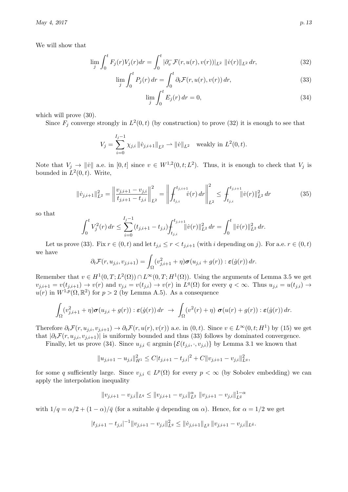We will show that

$$
\lim_{j} \int_{0}^{t} F_{j}(r)V_{j}(r)dr = \int_{0}^{t} |\partial_{v}^{-} \mathcal{F}(r, u(r), v(r))|_{L^{2}} ||\dot{v}(r)||_{L^{2}} dr,
$$
\n(32)

$$
\lim_{j} \int_{0}^{t} P_j(r) dr = \int_{0}^{t} \partial_t \mathcal{F}(r, u(r), v(r)) dr,
$$
\n(33)

<span id="page-12-2"></span><span id="page-12-1"></span><span id="page-12-0"></span>
$$
\lim_{j} \int_{0}^{t} E_{j}(r) dr = 0,
$$
\n(34)

which will prove  $(30)$ .

Since  $F_j$  converge strongly in  $L^2(0,t)$  (by construction) to prove [\(32\)](#page-12-0) it is enough to see that

$$
V_j = \sum_{i=0}^{I_j - 1} \chi_{j,i} ||\dot{v}_{j,i+1}||_{L^2} \rightharpoonup ||\dot{v}||_{L^2} \text{ weakly in } L^2(0, t).
$$

Note that  $V_j \to ||\dot{v}||$  a.e. in  $[0, t]$  since  $v \in W^{1,2}(0, t; L^2)$ . Thus, it is enough to check that  $V_j$  is bounded in  $L^2(0,t)$ . Write,

$$
\|\dot{v}_{j,i+1}\|_{L^2}^2 = \left\|\frac{v_{j,i+1} - v_{j,i}}{t_{j,i+1} - t_{j,i}}\right\|_{L^2}^2 = \left\|\int_{t_{j,i}}^{t_{j,i+1}} \dot{v}(r) \, dr\right\|_{L^2}^2 \le \int_{t_{j,i}}^{t_{j,i+1}} \|\dot{v}(r)\|_{L^2}^2 \, dr \tag{35}
$$

so that

$$
\int_0^t V_j^2(r) dr \le \sum_{i=0}^{I_j-1} (t_{j,i+1} - t_{j,i}) \int_{t_{j,i}}^{t_{j,i+1}} ||\dot{v}(r)||_{L^2}^2 dr = \int_0^t ||\dot{v}(r)||_{L^2}^2 dr.
$$

Let us prove [\(33\)](#page-12-1). Fix  $r \in (0, t)$  and let  $t_{j,i} \leq r < t_{j,i+1}$  (with i depending on j). For a.e.  $r \in (0, t)$ we have

$$
\partial_t \mathcal{F}(r, u_{j,i}, v_{j,i+1}) = \int_{\Omega} (v_{j,i+1}^2 + \eta) \boldsymbol{\sigma}(u_{j,i} + g(r)) : \boldsymbol{\varepsilon}(\dot{g}(r)) \, dr.
$$

Remember that  $v \in H^1(0,T; L^2(\Omega)) \cap L^\infty(0,T; H^1(\Omega))$ . Using the arguments of Lemma [3.5](#page-8-2) we get  $v_{j,i+1} = v(t_{j,i+1}) \rightarrow v(r)$  and  $v_{j,i} = v(t_{j,i}) \rightarrow v(r)$  in  $L^q(\Omega)$  for every  $q < \infty$ . Thus  $u_{j,i} = u(t_{j,i}) \rightarrow$  $u(r)$  in  $W^{1,p}(\Omega,\mathbb{R}^2)$  for  $p>2$  (by Lemma [A.5\)](#page-28-3). As a consequence

$$
\int_{\Omega} (v_{j,i+1}^2 + \eta) \sigma(u_{j,i} + g(r)) : \varepsilon(\dot{g}(r)) dr \rightarrow \int_{\Omega} (v^2(r) + \eta) \sigma(u(r) + g(r)) : \varepsilon(\dot{g}(r)) dr.
$$

Therefore  $\partial_t \mathcal{F}(r, u_{j,i}, v_{j,i+1}) \to \partial_t \mathcal{F}(r, u(r), v(r))$  a.e. in  $(0, t)$ . Since  $v \in L^{\infty}(0, t; H^1)$  by  $(15)$  we get that  $|\partial_t \mathcal{F}(r, u_{i,i}, v_{i,i+1})|$  is uniformly bounded and thus [\(33\)](#page-12-1) follows by dominated convergence.

Finally, let us prove [\(34\)](#page-12-2). Since  $u_{j,i} \in \text{argmin} \{ \mathcal{E}(t_{j,i}, \cdot, v_{j,i}) \}$  by Lemma [3.1](#page-6-9) we known that

$$
||u_{j,i+1} - u_{j,i}||_{H^1}^2 \le C|t_{j,i+1} - t_{j,i}|^2 + C||v_{j,i+1} - v_{j,i}||_{L^q}^2,
$$

for some q sufficiently large. Since  $v_{j,i} \in L^p(\Omega)$  for every  $p < \infty$  (by Sobolev embedding) we can apply the interpolation inequality

$$
||v_{j,i+1}-v_{j,i}||_{L^q}\leq ||v_{j,i+1}-v_{j,i}||_{L^2}^{\alpha}||v_{j,i+1}-v_{j,i}||_{L^{\bar{q}}}^{1-\alpha}
$$

with  $1/q = \alpha/2 + (1 - \alpha)/\bar{q}$  (for a suitable  $\bar{q}$  depending on  $\alpha$ ). Hence, for  $\alpha = 1/2$  we get

$$
|t_{j,i+1}-t_{j,i}|^{-1}||v_{j,i+1}-v_{j,i}||_{L^q}^2 \le ||v_{j,i+1}||_{L^2}||v_{j,i+1}-v_{j,i}||_{L^{\bar{q}}}.
$$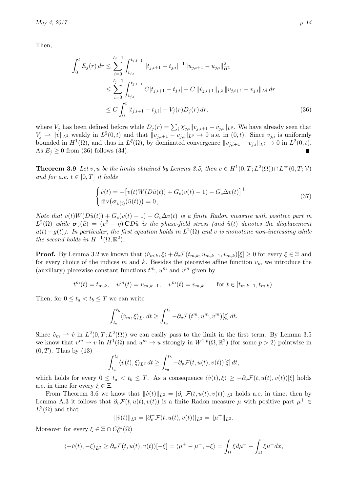Then,

$$
\int_{0}^{t} E_{j}(r) dr \leq \sum_{i=0}^{I_{j}-1} \int_{t_{j,i}}^{t_{j,i+1}} |t_{j,i+1} - t_{j,i}|^{-1} ||u_{j,i+1} - u_{j,i}||_{H^{1}}^{2}
$$
\n
$$
\leq \sum_{i=0}^{I_{j}-1} \int_{t_{j,i}}^{t_{j,i+1}} C|t_{j,i+1} - t_{j,i}| + C ||\dot{v}_{j,i+1}||_{L^{2}} ||v_{j,i+1} - v_{j,i}||_{L^{\bar{q}}} dr
$$
\n
$$
\leq C \int_{0}^{t} |t_{j,i+1} - t_{j,i}| + V_{j}(r) D_{j}(r) dr,
$$
\n(36)

where  $V_j$  has been defined before while  $D_j(r) = \sum_i \chi_{j,i} ||v_{j,i+1} - v_{j,i}||_{L^{\bar{q}}}$ . We have already seen that  $V_j \rightharpoonup ||\dot{v}||_{L^2}$  weakly in  $L^2(0,t)$  and that  $||v_{j,i+1} - v_{j,i}||_{L^{\bar{q}}} \rightharpoonup 0$  a.e. in  $(0,t)$ . Since  $v_{j,i}$  is uniformly bounded in  $H^1(\Omega)$ , and thus in  $L^{\bar{q}}(\Omega)$ , by dominated convergence  $||v_{j,i+1} - v_{j,i}||_{L^{\bar{q}}} \to 0$  in  $L^2(0,t)$ . As  $E_i \geq 0$  from [\(36\)](#page-13-0) follows [\(34\)](#page-12-2).

<span id="page-13-1"></span>**Theorem 3.9** Let v, u be the limits obtained by Lemma [3.5,](#page-8-2) then  $v \in H^1(0,T; L^2(\Omega)) \cap L^{\infty}(0,T; \mathcal{V})$ and for a.e.  $t \in [0, T]$  it holds

<span id="page-13-2"></span><span id="page-13-0"></span>
$$
\begin{cases}\n\dot{v}(t) = -\left[v(t)W(D\tilde{u}(t)) + G_c(v(t) - 1) - G_c\Delta v(t)\right]^+\n\\ \n\text{div}\left(\sigma_{v(t)}(\tilde{u}(t))\right) = 0,\n\end{cases} \tag{37}
$$

Note that  $v(t)W(D\tilde{u}(t)) + G_c(v(t)-1) - G_c\Delta v(t)$  is a finite Radon measure with positive part in  $L^2(\Omega)$  while  $\boldsymbol{\sigma}_v(\tilde{u}) = (v^2 + \eta) \boldsymbol{\mathrm{CD}}\tilde{u}$  is the phase-field stress (and  $\tilde{u}(t)$  denotes the displacement  $u(t) + g(t)$ ). In particular, the first equation holds in  $L^2(\Omega)$  and v is monotone non-increasing while the second holds in  $H^{-1}(\Omega,\mathbb{R}^2)$ .

**Proof.** By Lemma [3.2](#page-6-7) we known that  $\langle \dot{v}_{m,k}, \xi \rangle + \partial_v \mathcal{F}(t_{m,k}, u_{m,k-1}, v_{m,k})|\xi| \geq 0$  for every  $\xi \in \Xi$  and for every choice of the indices m and k. Besides the piecewise affine function  $v_m$  we introduce the (auxiliary) piecewise constant functions  $t^m$ ,  $u^m$  and  $v^m$  given by

$$
t^m(t) = t_{m,k}, \quad u^m(t) = u_{m,k-1}, \quad v^m(t) = v_{m,k} \qquad \text{for } t \in [t_{m,k-1}, t_{m,k}).
$$

Then, for  $0 \le t_a < t_b \le T$  we can write

$$
\int_{t_a}^{t_b} \langle \dot{v}_m, \xi \rangle_{L^2} dt \ge \int_{t_a}^{t_b} -\partial_v \mathcal{F}(t^m, u^m, v^m)[\xi] dt.
$$

Since  $\dot{v}_m \rightharpoonup \dot{v}$  in  $L^2(0,T;L^2(\Omega))$  we can easily pass to the limit in the first term. By Lemma [3.5](#page-8-2) we know that  $v^m \rightharpoonup v$  in  $H^1(\Omega)$  and  $u^m \to u$  strongly in  $W^{1,p}(\Omega,\mathbb{R}^2)$  (for some  $p > 2$ ) pointwise in  $(0, T)$ . Thus by  $(13)$ 

$$
\int_{t_a}^{t_b} \langle \dot{v}(t), \xi \rangle_{L^2} dt \ge \int_{t_a}^{t_b} -\partial_v \mathcal{F}(t, u(t), v(t))[\xi] dt,
$$

which holds for every  $0 \le t_a < t_b \le T$ . As a consequence  $\langle \dot{v}(t), \xi \rangle \ge -\partial_v \mathcal{F}(t, u(t), v(t))[\xi]$  holds a.e. in time for every  $\xi \in \Xi$ .

From Theorem [3.6](#page-8-1) we know that  $||\dot{v}(t)||_{L^2} = |\partial_v^-\mathcal{F}(t, u(t), v(t))|_{L^2}$  holds a.e. in time, then by Lemma [A.3](#page-27-1) it follows that  $\partial_v \mathcal{F}(t, u(t), v(t))$  is a finite Radon measure  $\mu$  with positive part  $\mu^+ \in$  $L^2(\Omega)$  and that

$$
\|\dot{v}(t)\|_{L^2} = |\partial_v^-\mathcal{F}(t, u(t), v(t))|_{L^2} = \|\mu^+\|_{L^2}.
$$

Moreover for every  $\xi \in \Xi \cap C_0^{\infty}(\Omega)$ 

$$
\langle -\dot{v}(t), -\xi \rangle_{L^2} \geq \partial_v \mathcal{F}(t, u(t), v(t))[-\xi] = \langle \mu^+ - \mu^-, -\xi \rangle = \int_{\Omega} \xi d\mu^- - \int_{\Omega} \xi \mu^+ dx,
$$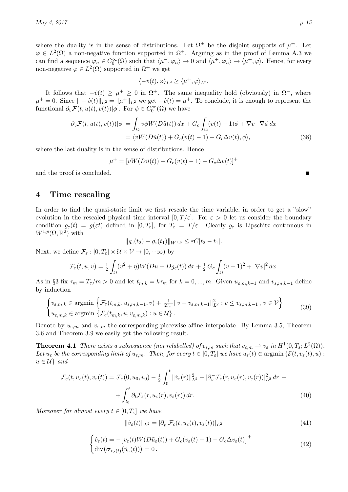where the duality is in the sense of distributions. Let  $\Omega^{\pm}$  be the disjoint supports of  $\mu^{\pm}$ . Let  $\varphi \in L^2(\Omega)$  a non-negative function supported in  $\Omega^+$ . Arguing as in the proof of Lemma [A.3](#page-27-1) we can find a sequence  $\varphi_n \in C_0^{\infty}(\Omega)$  such that  $\langle \mu^-, \varphi_n \rangle \to 0$  and  $\langle \mu^+, \varphi_n \rangle \to \langle \mu^+, \varphi \rangle$ . Hence, for every non-negative  $\varphi \in L^2(\Omega)$  supported in  $\Omega^+$  we get

<span id="page-14-5"></span>
$$
\langle-\dot{v}(t),\varphi\rangle_{L^2}\geq\langle\mu^+,\varphi\rangle_{L^2}.
$$

It follows that  $-v(t) \geq \mu^+ \geq 0$  in  $\Omega^+$ . The same inequality hold (obviously) in  $\Omega^-$ , where  $\mu^+ = 0$ . Since  $\|\mu^+\|_{L^2} = \|\mu^+\|_{L^2}$  we get  $-\dot{v}(t) = \mu^+$ . To conclude, it is enough to represent the functional  $\partial_v \mathcal{F}(t, u(t), v(t))[\phi]$ . For  $\phi \in C_0^{\infty}(\Omega)$  we have

$$
\partial_v \mathcal{F}(t, u(t), v(t))[\phi] = \int_{\Omega} v \phi W(D\tilde{u}(t)) dx + G_c \int_{\Omega} (v(t) - 1)\phi + \nabla v \cdot \nabla \phi dx
$$
  
=  $\langle vW(D\tilde{u}(t)) + G_c(v(t) - 1) - G_c \Delta v(t), \phi \rangle,$  (38)

where the last duality is in the sense of distributions. Hence

$$
\mu^{+} = [vW(D\tilde{u}(t)) + G_c(v(t) - 1) - G_c \Delta v(t)]^{+}
$$

and the proof is concluded.

## <span id="page-14-0"></span>4 Time rescaling

In order to find the quasi-static limit we first rescale the time variable, in order to get a "slow" evolution in the rescaled physical time interval  $[0, T/\varepsilon]$ . For  $\varepsilon > 0$  let us consider the boundary condition  $g_{\varepsilon}(t) = g(\varepsilon t)$  defined in  $[0, T_{\varepsilon}]$ , for  $T_{\varepsilon} = T/\varepsilon$ . Clearly  $g_{\varepsilon}$  is Lipschitz continuous in  $W^{1,\bar{p}}(\Omega,\mathbb{R}^2)$  with

$$
||g_{\varepsilon}(t_2)-g_{\varepsilon}(t_1)||_{W^{1,\bar{p}}}\leq \varepsilon C|t_2-t_1|.
$$

Next, we define  $\mathcal{F}_{\varepsilon} : [0, T_{\varepsilon}] \times \mathcal{U} \times \mathcal{V} \to [0, +\infty)$  by

$$
\mathcal{F}_{\varepsilon}(t, u, v) = \frac{1}{2} \int_{\Omega} (v^2 + \eta) W(Du + Dg_{\varepsilon}(t)) dx + \frac{1}{2} G_c \int_{\Omega} (v - 1)^2 + |\nabla v|^2 dx.
$$

As in §[3](#page-6-0) fix  $\tau_m = T_{\varepsilon}/m > 0$  and let  $t_{m,k} = k\tau_m$  for  $k = 0, ..., m$ . Given  $u_{\varepsilon,m,k-1}$  and  $v_{\varepsilon,m,k-1}$  define by induction

$$
\begin{cases} v_{\varepsilon,m,k} \in \operatorname{argmin} \left\{ \mathcal{F}_{\varepsilon}(t_{m,k}, u_{\varepsilon,m,k-1}, v) + \frac{1}{2\tau_m} ||v - v_{\varepsilon,m,k-1}||_{L^2}^2 : v \le v_{\varepsilon,m,k-1}, v \in \mathcal{V} \right\} \\ u_{\varepsilon,m,k} \in \operatorname{argmin} \left\{ \mathcal{F}_{\varepsilon}(t_{m,k}, u, v_{\varepsilon,m,k}) : u \in \mathcal{U} \right\}. \end{cases} \tag{39}
$$

Denote by  $u_{\varepsilon,m}$  and  $v_{\varepsilon,m}$  the corresponding piecewise affine interpolate. By Lemma [3.5,](#page-8-2) Theorem [3.6](#page-8-1) and Theorem [3.9](#page-13-1) we easily get the following result.

<span id="page-14-3"></span>**Theorem 4.1** There exists a subsequence (not relabelled) of  $v_{\varepsilon,m}$  such that  $v_{\varepsilon,m} \to v_{\varepsilon}$  in  $H^1(0,T_{\varepsilon};L^2(\Omega))$ . Let  $u_{\varepsilon}$  be the corresponding limit of  $u_{\varepsilon,m}$ . Then, for every  $t \in [0,T_{\varepsilon}]$  we have  $u_{\varepsilon}(t) \in \mathop{\rm argmin}\left\{ \mathcal{E}(t,v_{\varepsilon}(t),u) :$  $u \in \mathcal{U}$  and

$$
\mathcal{F}_{\varepsilon}(t, u_{\varepsilon}(t), v_{\varepsilon}(t)) = \mathcal{F}_{\varepsilon}(0, u_0, v_0) - \frac{1}{2} \int_0^t ||\dot{v}_{\varepsilon}(r)||_{L^2}^2 + |\partial_v^-\mathcal{F}_{\varepsilon}(r, u_{\varepsilon}(r), v_{\varepsilon}(r))|_{L^2}^2 dr + \n+ \int_{t_0}^t \partial_t \mathcal{F}_{\varepsilon}(r, u_{\varepsilon}(r), v_{\varepsilon}(r)) dr.
$$
\n(40)

<span id="page-14-4"></span>Moreover for almost every  $t \in [0, T_{\varepsilon}]$  we have

<span id="page-14-2"></span><span id="page-14-1"></span>
$$
\|\dot{v}_{\varepsilon}(t)\|_{L^2} = |\partial_v^{\top} \mathcal{F}_{\varepsilon}(t, u_{\varepsilon}(t), v_{\varepsilon}(t))|_{L^2}
$$
\n(41)

$$
\begin{cases}\n\dot{v}_{\varepsilon}(t) = -[v_{\varepsilon}(t)W(D\tilde{u}_{\varepsilon}(t)) + G_c(v_{\varepsilon}(t) - 1) - G_c\Delta v_{\varepsilon}(t)]^+\n\\ \n\text{div}(\boldsymbol{\sigma}_{v_{\varepsilon}(t)}(\tilde{u}_{\varepsilon}(t))) = 0.\n\end{cases} \tag{42}
$$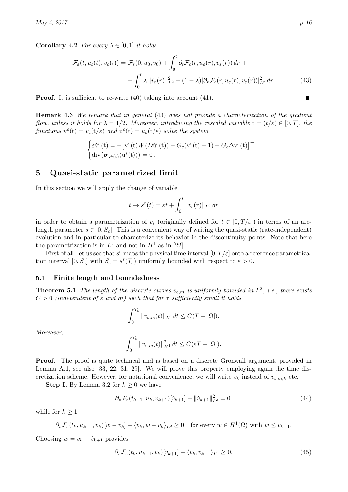**Corollary 4.2** For every  $\lambda \in [0,1]$  it holds

$$
\mathcal{F}_{\varepsilon}(t, u_{\varepsilon}(t), v_{\varepsilon}(t)) = \mathcal{F}_{\varepsilon}(0, u_0, v_0) + \int_0^t \partial_t \mathcal{F}_{\varepsilon}(r, u_{\varepsilon}(r), v_{\varepsilon}(r)) dr + - \int_0^t \lambda \| \dot{v}_{\varepsilon}(r) \|_{L^2}^2 + (1 - \lambda) |\partial_v \mathcal{F}_{\varepsilon}(r, u_{\varepsilon}(r), v_{\varepsilon}(r))|_{L^2}^2 dr.
$$
 (43)

**Proof.** It is sufficient to re-write [\(40\)](#page-14-1) taking into account [\(41\)](#page-14-2).

Remark 4.3 We remark that in general [\(43\)](#page-15-3) does not provide a characterization of the gradient flow, unless it holds for  $\lambda = 1/2$ . Moreover, introducing the rescaled variable  $t = (t/\varepsilon) \in [0, T]$ , the functions  $v^{\varepsilon}(t) = v_{\varepsilon}(t/\varepsilon)$  and  $u^{\varepsilon}(t) = u_{\varepsilon}(t/\varepsilon)$  solve the system

$$
\begin{cases} \varepsilon \dot{\mathbf{v}}^{\varepsilon}(\mathbf{t}) = -\big[\mathbf{v}^{\varepsilon}(\mathbf{t})W(D\tilde{\mathbf{u}}^{\varepsilon}(\mathbf{t})) + G_c(\mathbf{v}^{\varepsilon}(\mathbf{t}) - 1) - G_c \Delta \mathbf{v}^{\varepsilon}(\mathbf{t})\big]^{+} \\ \operatorname{div}(\boldsymbol{\sigma}_{\mathbf{v}^{\varepsilon}(\mathbf{t})}(\tilde{\mathbf{u}}^{\varepsilon}(\mathbf{t}))) = 0 \,. \end{cases}
$$

## <span id="page-15-0"></span>5 Quasi-static parametrized limit

In this section we will apply the change of variable

$$
t \mapsto s^{\varepsilon}(t) = \varepsilon t + \int_0^t \|\dot{v}_{\varepsilon}(r)\|_{L^2} dr
$$

in order to obtain a parametrization of  $v_{\varepsilon}$  (originally defined for  $t \in [0, T/\varepsilon]$ ) in terms of an arclength parameter  $s \in [0, S_{\varepsilon}]$ . This is a convenient way of writing the quasi-static (rate-independent) evolution and in particular to characterize its behavior in the discontinuity points. Note that here the parametrization is in  $L^2$  and not in  $H^1$  as in [\[22\]](#page-30-8).

First of all, let us see that  $s^{\varepsilon}$  maps the physical time interval  $[0, T/\varepsilon]$  onto a reference parametrization interval  $[0, S_{\varepsilon}]$  with  $S_{\varepsilon} = s^{\varepsilon}(T_{\varepsilon})$  uniformly bounded with respect to  $\varepsilon > 0$ .

## <span id="page-15-1"></span>5.1 Finite length and boundedness

<span id="page-15-2"></span>**Theorem 5.1** The length of the discrete curves  $v_{\varepsilon,m}$  is uniformly bounded in  $L^2$ , i.e., there exists  $C > 0$  (independent of  $\varepsilon$  and m) such that for  $\tau$  sufficiently small it holds

$$
\int_0^{T_\varepsilon} \|\dot{v}_{\varepsilon,m}(t)\|_{L^2}\,dt \leq C(T+|\Omega|).
$$

Moreover,

$$
\int_0^{T_{\varepsilon}} \|\dot{v}_{\varepsilon,m}(t)\|_{H^1}^2 dt \leq C(\varepsilon T + |\Omega|).
$$

**Proof.** The proof is quite technical and is based on a discrete Gronwall argument, provided in Lemma [A.1,](#page-25-2) see also [\[33,](#page-30-11) [22,](#page-30-8) [31,](#page-30-12) [29\]](#page-30-13). We will prove this property employing again the time discretization scheme. However, for notational convenience, we will write  $v_k$  instead of  $v_{\varepsilon,m,k}$  etc.

**Step I.** By Lemma [3.2](#page-6-7) for  $k \geq 0$  we have

<span id="page-15-4"></span>
$$
\partial_v \mathcal{F}_{\varepsilon}(t_{k+1}, u_k, v_{k+1})[v_{k+1}] + ||\dot{v}_{k+1}||_{L^2}^2 = 0.
$$
\n(44)

while for  $k \geq 1$ 

$$
\partial_v \mathcal{F}_{\varepsilon}(t_k, u_{k-1}, v_k)[w-v_k] + \langle \dot{v}_k, w-v_k \rangle_{L^2} \ge 0 \quad \text{for every } w \in H^1(\Omega) \text{ with } w \le v_{k-1}.
$$

Choosing  $w = v_k + \dot{v}_{k+1}$  provides

<span id="page-15-5"></span>
$$
\partial_v \mathcal{F}_{\varepsilon}(t_k, u_{k-1}, v_k)[\dot{v}_{k+1}] + \langle \dot{v}_k, \dot{v}_{k+1} \rangle_{L^2} \ge 0. \tag{45}
$$

<span id="page-15-3"></span>Г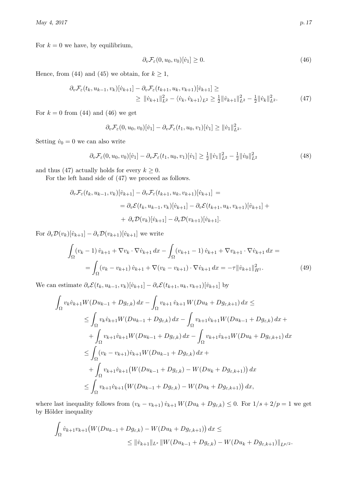For  $k = 0$  we have, by equilibrium,

<span id="page-16-1"></span><span id="page-16-0"></span>
$$
\partial_v \mathcal{F}_{\varepsilon}(0, u_0, v_0)[\dot{v}_1] \ge 0. \tag{46}
$$

Hence, from [\(44\)](#page-15-4) and [\(45\)](#page-15-5) we obtain, for  $k \ge 1$ ,

$$
\partial_v \mathcal{F}_{\varepsilon}(t_k, u_{k-1}, v_k) [\dot{v}_{k+1}] - \partial_v \mathcal{F}_{\varepsilon}(t_{k+1}, u_k, v_{k+1}) [\dot{v}_{k+1}] \geq
$$
\n
$$
\geq \|\dot{v}_{k+1}\|_{L^2}^2 - \langle \dot{v}_k, \dot{v}_{k+1} \rangle_{L^2} \geq \frac{1}{2} \|\dot{v}_{k+1}\|_{L^2}^2 - \frac{1}{2} \|\dot{v}_k\|_{L^2}^2. \tag{47}
$$

For  $k = 0$  from [\(44\)](#page-15-4) and [\(46\)](#page-16-0) we get

$$
\partial_v \mathcal{F}_{\varepsilon}(0, u_0, v_0)[\dot{v}_1] - \partial_v \mathcal{F}_{\varepsilon}(t_1, u_0, v_1)[\dot{v}_1] \ge ||\dot{v}_1||^2_{L^2}.
$$

Setting  $\dot{v}_0 = 0$  we can also write

$$
\partial_v \mathcal{F}_{\varepsilon}(0, u_0, v_0)[\dot{v}_1] - \partial_v \mathcal{F}_{\varepsilon}(t_1, u_0, v_1)[\dot{v}_1] \ge \frac{1}{2} ||\dot{v}_1||_{L^2}^2 - \frac{1}{2} ||\dot{v}_0||_{L^2}^2 \tag{48}
$$

and thus [\(47\)](#page-16-1) actually holds for every  $k \geq 0$ .

For the left hand side of [\(47\)](#page-16-1) we proceed as follows.

$$
\partial_v \mathcal{F}_{\varepsilon}(t_k, u_{k-1}, v_k)[\dot{v}_{k+1}] - \partial_v \mathcal{F}_{\varepsilon}(t_{k+1}, u_k, v_{k+1})[\dot{v}_{k+1}] =
$$
  
=  $\partial_v \mathcal{E}(t_k, u_{k-1}, v_k)[\dot{v}_{k+1}] - \partial_v \mathcal{E}(t_{k+1}, u_k, v_{k+1})[\dot{v}_{k+1}] +$   
+  $\partial_v \mathcal{D}(v_k)[\dot{v}_{k+1}] - \partial_v \mathcal{D}(v_{k+1})[\dot{v}_{k+1}].$ 

For  $\partial_v \mathcal{D}(v_k)[\dot{v}_{k+1}] - \partial_v \mathcal{D}(v_{k+1})[\dot{v}_{k+1}]$  we write

$$
\int_{\Omega} (v_k - 1) \dot{v}_{k+1} + \nabla v_k \cdot \nabla \dot{v}_{k+1} dx - \int_{\Omega} (v_{k+1} - 1) \dot{v}_{k+1} + \nabla v_{k+1} \cdot \nabla \dot{v}_{k+1} dx =
$$
\n
$$
= \int_{\Omega} (v_k - v_{k+1}) \dot{v}_{k+1} + \nabla (v_k - v_{k+1}) \cdot \nabla \dot{v}_{k+1} dx = -\tau ||\dot{v}_{k+1}||_{H^1}^2.
$$
\n(49)

We can estimate  $\partial_v \mathcal{E}(t_k, u_{k-1}, v_k)[\dot{v}_{k+1}] - \partial_v \mathcal{E}(t_{k+1}, u_k, v_{k+1})[\dot{v}_{k+1}]$  by

$$
\int_{\Omega} v_{k} \dot{v}_{k+1} W(Du_{k-1} + Dg_{\varepsilon,k}) dx - \int_{\Omega} v_{k+1} \dot{v}_{k+1} W(Du_{k} + Dg_{\varepsilon,k+1}) dx \le
$$
\n
$$
\leq \int_{\Omega} v_{k} \dot{v}_{k+1} W(Du_{k-1} + Dg_{\varepsilon,k}) dx - \int_{\Omega} v_{k+1} \dot{v}_{k+1} W(Du_{k-1} + Dg_{\varepsilon,k}) dx +
$$
\n
$$
+ \int_{\Omega} v_{k+1} \dot{v}_{k+1} W(Du_{k-1} + Dg_{\varepsilon,k}) dx - \int_{\Omega} v_{k+1} \dot{v}_{k+1} W(Du_{k} + Dg_{\varepsilon,k+1}) dx
$$
\n
$$
\leq \int_{\Omega} (v_{k} - v_{k+1}) \dot{v}_{k+1} W(Du_{k-1} + Dg_{\varepsilon,k}) dx +
$$
\n
$$
+ \int_{\Omega} v_{k+1} \dot{v}_{k+1} (W(Du_{k-1} + Dg_{\varepsilon,k}) - W(Du_{k} + Dg_{\varepsilon,k+1})) dx
$$
\n
$$
\leq \int_{\Omega} v_{k+1} \dot{v}_{k+1} (W(Du_{k-1} + Dg_{\varepsilon,k}) - W(Du_{k} + Dg_{\varepsilon,k+1})) dx,
$$

where last inequality follows from  $(v_k - v_{k+1}) v_{k+1} W(Du_k + Dg_{\varepsilon,k}) \leq 0$ . For  $1/s + 2/p = 1$  we get by Hölder inequality

$$
\int_{\Omega} \dot{v}_{k+1} v_{k+1} \big( W(Du_{k-1} + Dg_{\varepsilon,k}) - W(Du_k + Dg_{\varepsilon,k+1}) \big) dx \le
$$
\n
$$
\leq \| \dot{v}_{k+1} \|_{L^s} \| W(Du_{k-1} + Dg_{\varepsilon,k}) - W(Du_k + Dg_{\varepsilon,k+1}) \|_{L^{p/2}}.
$$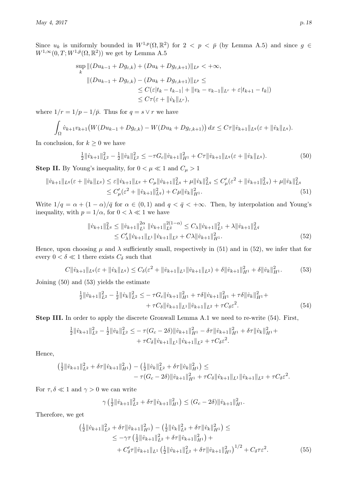Since  $u_k$  is uniformly bounded in  $W^{1,p}(\Omega,\mathbb{R}^2)$  for  $2 < p < \bar{p}$  (by Lemma [A.5\)](#page-28-3) and since  $g \in$  $W^{1,\infty}(0,T;W^{1,\bar{p}}(\Omega,\mathbb{R}^2))$  we get by Lemma [A.5](#page-28-3)

$$
\sup_{k} ||(Du_{k-1} + Dg_{\varepsilon,k}) + (Du_k + Dg_{\varepsilon,k+1})||_{L^p} < +\infty,
$$
  

$$
||(Du_{k-1} + Dg_{\varepsilon,k}) - (Du_k + Dg_{\varepsilon,k+1})||_{L^p} \le
$$
  

$$
\leq C(\varepsilon |t_k - t_{k-1}| + ||v_k - v_{k-1}||_{L^r} + \varepsilon |t_{k+1} - t_k|)
$$
  

$$
\leq C\tau(\varepsilon + ||v_k||_{L^r}),
$$

where  $1/r = 1/p - 1/\bar{p}$ . Thus for  $q = s \vee r$  we have

$$
\int_{\Omega} \dot{v}_{k+1} v_{k+1} \big(W(Du_{k-1} + Dg_{\varepsilon,k}) - W(Du_k + Dg_{\varepsilon,k+1})\big) dx \leq C\tau \|\dot{v}_{k+1}\|_{L^q} (\varepsilon + \|\dot{v}_k\|_{L^q}).
$$

In conclusion, for  $k \geq 0$  we have

<span id="page-17-2"></span>
$$
\frac{1}{2} \|\dot{v}_{k+1}\|_{L^2}^2 - \frac{1}{2} \|\dot{v}_k\|_{L^2}^2 \le -\tau G_c \|\dot{v}_{k+1}\|_{H^1}^2 + C\tau \|\dot{v}_{k+1}\|_{L^q} (\varepsilon + \|\dot{v}_k\|_{L^q}). \tag{50}
$$

**Step II.** By Young's inequality, for  $0 < \mu \ll 1$  and  $C_{\mu} > 1$ 

$$
\| \dot{v}_{k+1} \|_{L^q} (\varepsilon + \| \dot{v}_k \|_{L^q}) \le \varepsilon \| \dot{v}_{k+1} \|_{L^q} + C_\mu \| \dot{v}_{k+1} \|_{L^q}^2 + \mu \| \dot{v}_k \|_{L^q}^2 \le C'_\mu (\varepsilon^2 + \| \dot{v}_{k+1} \|_{L^q}^2) + \mu \| \dot{v}_k \|_{L^q}^2
$$
  

$$
\le C'_\mu (\varepsilon^2 + \| \dot{v}_{k+1} \|_{L^q}^2) + C_\mu \| \dot{v}_k \|_{H^1}^2.
$$
 (51)

Write  $1/q = \alpha + (1 - \alpha)/\bar{q}$  for  $\alpha \in (0, 1)$  and  $q < \bar{q} < +\infty$ . Then, by interpolation and Young's inequality, with  $p = 1/\alpha$ , for  $0 < \lambda \ll 1$  we have

<span id="page-17-1"></span><span id="page-17-0"></span>
$$
\begin{split} \|\dot{v}_{k+1}\|_{L^{q}}^{2} &\leq \|\dot{v}_{k+1}\|_{L^{1}}^{2\alpha} \|\dot{v}_{k+1}\|_{L^{\bar{q}}}^{2(1-\alpha)} \leq C_{\lambda} \|\dot{v}_{k+1}\|_{L^{1}}^{2} + \lambda \|\dot{v}_{k+1}\|_{L^{\bar{q}}}^{2} \\ &\leq C_{\lambda}' \|\dot{v}_{k+1}\|_{L^{1}} \|\dot{v}_{k+1}\|_{L^{2}} + C\lambda \|\dot{v}_{k+1}\|_{H^{1}}^{2} . \end{split} \tag{52}
$$

Hence, upon choosing  $\mu$  and  $\lambda$  sufficiently small, respectively in [\(51\)](#page-17-0) and in [\(52\)](#page-17-1), we infer that for every  $0 < \delta \ll 1$  there exists  $C_{\delta}$  such that

<span id="page-17-3"></span>
$$
C\|\dot{v}_{k+1}\|_{L^q}(\varepsilon+\|\dot{v}_k\|_{L^q}) \leq C_\delta(\varepsilon^2+\|\dot{v}_{k+1}\|_{L^1}\|\dot{v}_{k+1}\|_{L^2}) + \delta\|\dot{v}_{k+1}\|_{H^1}^2 + \delta\|\dot{v}_k\|_{H^1}^2. \tag{53}
$$

Joining [\(50\)](#page-17-2) and [\(53\)](#page-17-3) yields the estimate

$$
\frac{1}{2} \|\dot{v}_{k+1}\|_{L^2}^2 - \frac{1}{2} \|\dot{v}_k\|_{L^2}^2 \leq -\tau G_c \|\dot{v}_{k+1}\|_{H^1}^2 + \tau \delta \|\dot{v}_{k+1}\|_{H^1}^2 + \tau \delta \|\dot{v}_k\|_{H^1}^2 + \tau C_\delta \|\dot{v}_{k+1}\|_{L^1} \|\dot{v}_{k+1}\|_{L^2} + \tau C_\delta \varepsilon^2.
$$
\n(54)

Step III. In order to apply the discrete Gronwall Lemma [A.1](#page-25-2) we need to re-write [\(54\)](#page-17-4). First,

$$
\frac{1}{2} \|\dot{v}_{k+1}\|_{L^2}^2 - \frac{1}{2} \|\dot{v}_k\|_{L^2}^2 \leq -\tau (G_c - 2\delta) \|\dot{v}_{k+1}\|_{H^1}^2 - \delta \tau \|\dot{v}_{k+1}\|_{H^1}^2 + \delta \tau \|\dot{v}_k\|_{H^1}^2 + \tau C_\delta \|\dot{v}_{k+1}\|_{L^1} \|\dot{v}_{k+1}\|_{L^2} + \tau C_\delta \varepsilon^2.
$$

Hence,

$$
\begin{aligned} \left(\frac{1}{2} \|\dot{v}_{k+1}\|_{L^2}^2 + \delta \tau \|\dot{v}_{k+1}\|_{H^1}^2\right) - \left(\frac{1}{2} \|\dot{v}_k\|_{L^2}^2 + \delta \tau \|\dot{v}_k\|_{H^1}^2\right) \leq \\ &- \tau (G_c - 2\delta) \|\dot{v}_{k+1}\|_{H^1}^2 + \tau C_\delta \|\dot{v}_{k+1}\|_{L^1} \|\dot{v}_{k+1}\|_{L^2} + \tau C_\delta \varepsilon^2. \end{aligned}
$$

For  $\tau, \delta \ll 1$  and  $\gamma > 0$  we can write

<span id="page-17-5"></span><span id="page-17-4"></span>
$$
\gamma \left( \frac{1}{2} ||\dot{v}_{k+1}||_{L^2}^2 + \delta \tau ||\dot{v}_{k+1}||_{H^1}^2 \right) \le (G_c - 2\delta) ||\dot{v}_{k+1}||_{H^1}^2.
$$

Therefore, we get

$$
\begin{split}\n\left(\frac{1}{2} \|\dot{v}_{k+1}\|_{L^{2}}^{2} + \delta \tau \|\dot{v}_{k+1}\|_{H^{1}}^{2}\right) - \left(\frac{1}{2} \|\dot{v}_{k}\|_{L^{2}}^{2} + \delta \tau \|\dot{v}_{k}\|_{H^{1}}^{2}\right) &\leq \\
&\leq -\gamma \tau \left(\frac{1}{2} \|\dot{v}_{k+1}\|_{L^{2}}^{2} + \delta \tau \|\dot{v}_{k+1}\|_{H^{1}}^{2}\right) + \\
&\quad + C_{\delta}^{\prime} \tau \|\dot{v}_{k+1}\|_{L^{1}} \left(\frac{1}{2} \|\dot{v}_{k+1}\|_{L^{2}}^{2} + \delta \tau \|\dot{v}_{k+1}\|_{H^{1}}^{2}\right)^{1/2} + C_{\delta} \tau \varepsilon^{2}.\n\end{split} \tag{55}
$$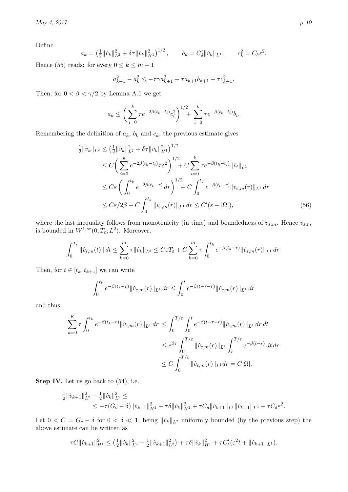Define

$$
a_k = \left(\frac{1}{2} \|\dot{v}_k\|_{L^2}^2 + \delta \tau \|\dot{v}_k\|_{H^1}^2\right)^{1/2}, \qquad b_k = C'_\delta \|\dot{v}_k\|_{L^1}, \qquad c_k^2 = C_\delta \varepsilon^2.
$$

Hence [\(55\)](#page-17-5) reads: for every  $0 \le k \le m-1$ 

$$
a_{k+1}^2 - a_k^2 \le -\tau \gamma a_{k+1}^2 + \tau a_{k+1} b_{k+1} + \tau c_{k+1}^2.
$$

Then, for  $0 < \beta < \gamma/2$  by Lemma [A.1](#page-25-2) we get

$$
a_k \leq \left(\sum_{i=0}^k \tau e^{-2\beta(t_k - t_i)} c_i^2\right)^{1/2} + \sum_{i=0}^k \tau e^{-\beta(t_k - t_i)} b_i.
$$

Remembering the definition of  $a_k$ ,  $b_k$  and  $c_k$ , the previous estimate gives

$$
\frac{1}{2} \|\dot{v}_k\|_{L^2} \leq \left(\frac{1}{2} \|\dot{v}_k\|_{L^2}^2 + \delta \tau \|\dot{v}_k\|_{H^1}^2\right)^{1/2} \n\leq C \left(\sum_{i=0}^k e^{-2\beta(t_k - t_i)} \tau \varepsilon^2\right)^{1/2} + C \sum_{i=0}^k \tau e^{-\beta(t_k - t_i)} \|\dot{v}_i\|_{L^1} \n\leq C \varepsilon \left(\int_0^{t_k} e^{-2\beta(t_k - r)} dr\right)^{1/2} + C \int_0^{t_k} e^{-\beta(t_k - r)} \|\dot{v}_{\varepsilon,m}(r)\|_{L^1} dr \n\leq C \varepsilon / 2\beta + C \int_0^{t_k} \|\dot{v}_{\varepsilon,m}(r)\|_{L^1} dr \leq C'(\varepsilon + |\Omega|),
$$
\n(56)

where the last inequality follows from monotonicity (in time) and boundedness of  $v_{\varepsilon,m}$ . Hence  $v_{\varepsilon,m}$ is bounded in  $W^{1,\infty}(0,T_\varepsilon;L^2)$ . Moreover,

$$
\int_0^{T_\varepsilon} \|\dot{v}_{\varepsilon,m}(t)\| dt \leq \sum_{k=0}^m \tau \|\dot{v}_k\|_{L^2} \leq C\varepsilon T_\varepsilon + C \sum_{k=0}^m \tau \int_0^{t_k} e^{-\beta(t_k - r)} \|\dot{v}_{\varepsilon,m}(r)\|_{L^1} dr.
$$

Then, for  $t \in [t_k, t_{k+1}]$  we can write

$$
\int_0^{t_k} e^{-\beta(t_k - r)} \| \dot{v}_{\varepsilon,m}(r) \|_{L^1} \, dr \le \int_0^t e^{-\beta(t - \tau - r)} \| \dot{v}_{\varepsilon,m}(r) \|_{L^1} \, dr
$$

and thus

$$
\sum_{k=0}^{K} \tau \int_{0}^{t_k} e^{-\beta(t_k - r)} \|\dot{v}_{\varepsilon,m}(r)\|_{L^1} dr \leq \int_{0}^{T/\varepsilon} \int_{0}^{t} e^{-\beta(t - \tau - r)} \|\dot{v}_{\varepsilon,m}(r)\|_{L^1} dr dt
$$
  

$$
\leq e^{\beta \tau} \int_{0}^{T/\varepsilon} \|\dot{v}_{\varepsilon,m}(r)\|_{L^1} \int_{r}^{T/\varepsilon} e^{-\beta(t - r)} dt dr
$$
  

$$
\leq C \int_{0}^{T/\varepsilon} \|\dot{v}_{\varepsilon,m}(r)\|_{L^1} dr = C|\Omega|.
$$

Step IV. Let us go back to  $(54)$ , i.e.

$$
\frac{1}{2} ||\dot{v}_{k+1}||_{L^2}^2 - \frac{1}{2} ||\dot{v}_k||_{L^2}^2 \le
$$
  
 
$$
\leq -\tau (G_c - \delta) ||\dot{v}_{k+1}||_{H^1}^2 + \tau \delta ||\dot{v}_k||_{H^1}^2 + \tau C_\delta ||\dot{v}_{k+1}||_{L^1} ||\dot{v}_{k+1}||_{L^2} + \tau C_\delta \varepsilon^2.
$$

Let  $0 < C = G_c - \delta$  for  $0 < \delta \ll 1$ ; being  $||\dot{v}_k||_{L^2}$  uniformly bounded (by the previous step) the above estimate can be written as

$$
\tau C \|\dot{v}_{k+1}\|_{H^1}^2 \leq \left(\frac{1}{2}\|\dot{v}_k\|_{L^2}^2 - \frac{1}{2}\|\dot{v}_{k+1}\|_{L^2}^2\right) + \tau \delta \|\dot{v}_k\|_{H^1}^2 + \tau C'_{\delta}(\varepsilon^2 t + \|\dot{v}_{k+1}\|_{L^1}).
$$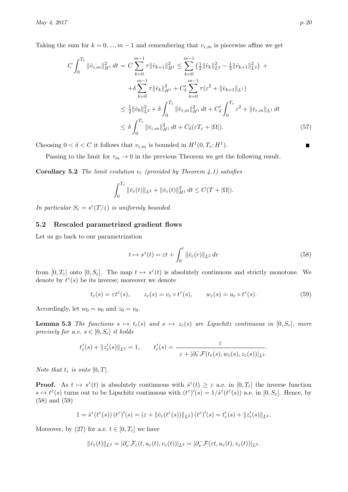Taking the sum for  $k = 0, ..., m - 1$  and remembering that  $v_{\varepsilon,m}$  is piecewise affine we get

$$
C \int_0^{T_{\varepsilon}} \|\dot{v}_{\varepsilon,m}\|_{H^1}^2 dt = C \sum_{k=0}^{m-1} \tau \|\dot{v}_{k+1}\|_{H^1}^2 \le \sum_{k=0}^{m-1} \left(\frac{1}{2} \|\dot{v}_k\|_{L^2}^2 - \frac{1}{2} \|\dot{v}_{k+1}\|_{L^2}^2\right) + \int_0^{m-1} \tau \|\dot{v}_k\|_{H^1}^2 + C'_\delta \sum_{k=0}^{m-1} \tau (\varepsilon^2 + \|\dot{v}_{k+1}\|_{L^1})
$$
  

$$
\le \frac{1}{2} \|\dot{v}_0\|_{L^2}^2 + \delta \int_0^{T_{\varepsilon}} \|\dot{v}_{\varepsilon,m}\|_{H^1}^2 dt + C'_\delta \int_0^{T_{\varepsilon}} \varepsilon^2 + \|\dot{v}_{\varepsilon,m}\|_{L^1} dt
$$
  

$$
\le \delta \int_0^{T_{\varepsilon}} \|\dot{v}_{\varepsilon,m}\|_{H^1}^2 dt + C_\delta(\varepsilon T_{\varepsilon} + |\Omega|).
$$
 (57)

Choosing  $0 < \delta < C$  it follows that  $v_{\varepsilon,m}$  is bounded in  $H^1(0, T_\varepsilon; H^1)$ .

Passing to the limit for  $\tau_m \to 0$  in the previous Theorem we get the following result.

<span id="page-19-4"></span>**Corollary 5.2** The limit evolution  $v_{\varepsilon}$  (provided by Theorem [4.1\)](#page-14-3) satisfies

$$
\int_0^{T_\varepsilon} \|\dot{v}_\varepsilon(t)\|_{L^2} + \|\dot{v}_\varepsilon(t)\|_{H^1}^2 dt \leq C(T + |\Omega|).
$$

In particular  $S_{\varepsilon} = s^{\varepsilon}(T/\varepsilon)$  is uniformly bounded.

## <span id="page-19-0"></span>5.2 Rescaled parametrized gradient flows

Let us go back to our parametrization

<span id="page-19-1"></span>
$$
t \mapsto s^{\varepsilon}(t) = \varepsilon t + \int_0^t \|\dot{v}_{\varepsilon}(r)\|_{L^2} dr \tag{58}
$$

from  $[0, T_{\varepsilon}]$  onto  $[0, S_{\varepsilon}]$ . The map  $t \mapsto s^{\varepsilon}(t)$  is absolutely continuous and strictly monotone. We denote by  $t^{\varepsilon}(s)$  be its inverse; moreover we denote

<span id="page-19-2"></span>
$$
t_{\varepsilon}(s) = \varepsilon t^{\varepsilon}(s), \qquad z_{\varepsilon}(s) = v_{\varepsilon} \circ t^{\varepsilon}(s), \qquad w_{\varepsilon}(s) = u_{\varepsilon} \circ t^{\varepsilon}(s). \tag{59}
$$

<span id="page-19-3"></span>Accordingly, let  $w_0 = u_0$  and  $z_0 = v_0$ .

**Lemma 5.3** The functions  $s \mapsto t_{\varepsilon}(s)$  and  $s \mapsto z_{\varepsilon}(s)$  are Lipschitz continuous in  $[0, S_{\varepsilon}]$ , more precisely for a.e.  $s \in [0, S_{\varepsilon}]$  it holds

$$
t'_{\varepsilon}(s) + ||z'_{\varepsilon}(s)||_{L^2} = 1,
$$
  $t'_{\varepsilon}(s) = \frac{\varepsilon}{\varepsilon + |\partial_v^{\top} \mathcal{F}(t_{\varepsilon}(s), w_{\varepsilon}(s), z_{\varepsilon}(s))|_{L^2}}.$ 

Note that  $t_{\varepsilon}$  is onto  $[0, T]$ .

**Proof.** As  $t \mapsto s^{\varepsilon}(t)$  is absolutely continuous with  $\dot{s}^{\varepsilon}(t) \geq \varepsilon$  a.e. in  $[0, T_{\varepsilon}]$  the inverse function  $s \mapsto t^{\varepsilon}(s)$  turns out to be Lipschitz continuous with  $(t^{\varepsilon})'(s) = 1/\dot{s}^{\varepsilon}(t^{\varepsilon}(s))$  a.e. in  $[0, S_{\varepsilon}]$ . Hence, by [\(58\)](#page-19-1) and [\(59\)](#page-19-2)

$$
1=\dot{s}^{\varepsilon}(t^{\varepsilon}(s))\left(t^{\varepsilon}\right)'(s)=(\varepsilon+\|\dot{v}_{\varepsilon}(t^{\varepsilon}(s))\|_{L^{2}})\left(t^{\varepsilon}\right)'(s)=t'_{\varepsilon}(s)+\|z'_{\varepsilon}(s)\|_{L^{2}}.
$$

Moreover, by [\(27\)](#page-8-3) for a.e.  $t \in [0, T_{\varepsilon}]$  we have

$$
\|\dot{v}_{\varepsilon}(t)\|_{L^2}=|\partial^-_v\mathcal{F}_{\varepsilon}(t,u_{\varepsilon}(t),v_{\varepsilon}(t))|_{L^2}=|\partial^-_v\mathcal{F}(\varepsilon t,u_{\varepsilon}(t),v_{\varepsilon}(t))|_{L^2}.
$$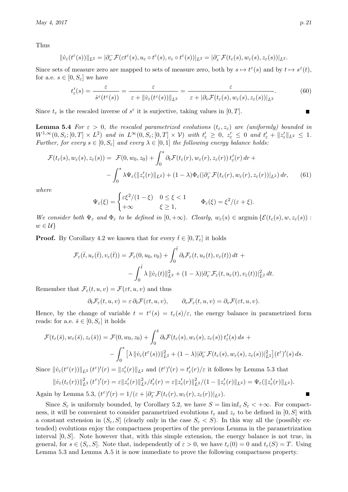Thus

$$
\|\dot{v}_{\varepsilon}(t^{\varepsilon}(s))\|_{L^{2}}=\t|\partial_{v}^{-} \mathcal{F}(\varepsilon t^{\varepsilon}(s),u_{\varepsilon}\circ t^{\varepsilon}(s),v_{\varepsilon}\circ t^{\varepsilon}(s))|_{L^{2}}=\t|\partial_{z}^{-} \mathcal{F}(t_{\varepsilon}(s),w_{\varepsilon}(s),z_{\varepsilon}(s))|_{L^{2}}.
$$

Since sets of measure zero are mapped to sets of measure zero, both by  $s \mapsto t^{\varepsilon}(s)$  and by  $t \mapsto s^{\varepsilon}(t)$ , for a.e.  $s \in [0, S_{\varepsilon}]$  we have

$$
t'_{\varepsilon}(s) = \frac{\varepsilon}{\dot{s}^{\varepsilon}(t^{\varepsilon}(s))} = \frac{\varepsilon}{\varepsilon + \|v_{\varepsilon}(t^{\varepsilon}(s))\|_{L^{2}}} = \frac{\varepsilon}{\varepsilon + |\partial_{v} \mathcal{F}(t_{\varepsilon}(s), w_{\varepsilon}(s), z_{\varepsilon}(s))|_{L^{2}}}.
$$
\n(60)

Since  $t_{\varepsilon}$  is the rescaled inverse of  $s^{\varepsilon}$  it is surjective, taking values in  $[0, T]$ .

**Lemma 5.4** For  $\varepsilon > 0$ , the rescaled parametrized evolutions  $(t_{\varepsilon}, z_{\varepsilon})$  are (uniformly) bounded in  $W^{1,\infty}(0, S_{\varepsilon}; [0,T] \times L^2)$  and in  $L^{\infty}(0, S_{\varepsilon}; [0,T] \times V)$  with  $t_{\varepsilon}' \geq 0, z_{\varepsilon}' \leq 0$  and  $t_{\varepsilon}' + ||z_{\varepsilon}'||_{L^2} \leq 1$ . Further, for every  $s \in [0, S_{\varepsilon}]$  and every  $\lambda \in [0, 1]$  the following energy balance holds:

$$
\mathcal{F}(t_{\varepsilon}(s), w_{\varepsilon}(s), z_{\varepsilon}(s)) = \mathcal{F}(0, w_{0}, z_{0}) + \int_{0}^{s} \partial_{t} \mathcal{F}(t_{\varepsilon}(r), w_{\varepsilon}(r), z_{\varepsilon}(r)) t'_{\varepsilon}(r) dr + - \int_{0}^{s} \lambda \Psi_{\varepsilon}(\|z'_{\varepsilon}(r)\|_{L^{2}}) + (1 - \lambda) \Phi_{\varepsilon}(\partial_{z} \mathcal{F}(t_{\varepsilon}(r), w_{\varepsilon}(r), z_{\varepsilon}(r))|_{L^{2}}) dr, \qquad (61)
$$

where

<span id="page-20-1"></span>
$$
\Psi_{\varepsilon}(\xi) = \begin{cases} \varepsilon \xi^2/(1-\xi) & 0 \leq \xi < 1 \\ +\infty & \xi \geq 1, \end{cases} \qquad \Phi_{\varepsilon}(\xi) = \xi^2/(\varepsilon + \xi).
$$

We consider both  $\Psi_{\varepsilon}$  and  $\Phi_{\varepsilon}$  to be defined in  $[0, +\infty)$ . Clearly,  $w_{\varepsilon}(s) \in \operatorname{argmin} \{\mathcal{E}(t_{\varepsilon}(s), w, z_{\varepsilon}(s))\}$ :  $w \in \mathcal{U}$ 

**Proof.** By Corollary [4.2](#page-14-4) we known that for every  $\bar{t} \in [0, T_{\varepsilon}]$  it holds

$$
\mathcal{F}_{\varepsilon}(\bar{t}, u_{\varepsilon}(\bar{t}), v_{\varepsilon}(\bar{t})) = \mathcal{F}_{\varepsilon}(0, u_0, v_0) + \int_0^{\bar{t}} \partial_t \mathcal{F}_{\varepsilon}(t, u_{\varepsilon}(t), v_{\varepsilon}(t)) dt + - \int_0^{\bar{t}} \lambda \| \dot{v}_{\varepsilon}(t) \|_{L^2}^2 + (1 - \lambda) |\partial_v^{\top} \mathcal{F}_{\varepsilon}(t, u_{\varepsilon}(t), v_{\varepsilon}(t))|_{L^2}^2 dt.
$$

Remember that  $\mathcal{F}_{\varepsilon}(t, u, v) = \mathcal{F}(\varepsilon t, u, v)$  and thus

$$
\partial_t \mathcal{F}_{\varepsilon}(t, u, v) = \varepsilon \, \partial_t \mathcal{F}(\varepsilon t, u, v), \qquad \partial_v \mathcal{F}_{\varepsilon}(t, u, v) = \partial_v \mathcal{F}(\varepsilon t, u, v).
$$

Hence, by the change of variable  $t = t^{\epsilon}(s) = t_{\epsilon}(s)/\epsilon$ , the energy balance in parametrized form reads: for a.e.  $\bar{s} \in [0, S_{\varepsilon}]$  it holds

$$
\mathcal{F}(t_{\varepsilon}(\bar{s}), w_{\varepsilon}(\bar{s}), z_{\varepsilon}(\bar{s})) = \mathcal{F}(0, w_{0}, z_{0}) + \int_{0}^{\bar{s}} \partial_{t} \mathcal{F}(t_{\varepsilon}(s), w_{\varepsilon}(s), z_{\varepsilon}(s)) t'_{\varepsilon}(s) ds + - \int_{0}^{s} \left[ \lambda \left\| \dot{v}_{\varepsilon}(t^{\varepsilon}(s)) \right\|_{L^{2}}^{2} + (1 - \lambda) \left\| \partial_{v}^{-} \mathcal{F}(t_{\varepsilon}(s), w_{\varepsilon}(s), z_{\varepsilon}(s)) \right\|_{L^{2}}^{2} \right] (t^{\varepsilon})'(s) ds.
$$

Since  $\|\dot{v}_{\varepsilon}(t^{\varepsilon}(r))\|_{L^{2}}(t^{\varepsilon})'(r) = \|z'_{\varepsilon}(r)\|_{L^{2}}$  and  $(t^{\varepsilon})'(r) = t'_{\varepsilon}(r)/\varepsilon$  it follows by Lemma [5.3](#page-19-3) that

$$
\|\dot{v}_{\varepsilon}(t_{\varepsilon}(r))\|_{L^{2}}^{2}(t^{\varepsilon})'(r)=\varepsilon\|z'_{\varepsilon}(r)\|_{L^{2}}^{2}/t'_{\varepsilon}(r)=\varepsilon\|z'_{\varepsilon}(r)\|_{L^{2}}^{2}/(1-\|z'_{\varepsilon}(r)\|_{L^{2}})=\Psi_{\varepsilon}(\|z'_{\varepsilon}(r)\|_{L^{2}}).
$$

Again by Lemma [5.3,](#page-19-3)  $(t^{\varepsilon})'(r) = 1/(\varepsilon + |\partial_z^-\mathcal{F}(t_{\varepsilon}(r), w_{\varepsilon}(r), z_{\varepsilon}(r))|_{L^2})$ .

<span id="page-20-0"></span>Since  $S_{\varepsilon}$  is uniformly bounded, by Corollary [5.2,](#page-19-4) we have  $S = \liminf_{\varepsilon} S_{\varepsilon} < +\infty$ . For compactness, it will be convenient to consider parametrized evolutions  $t_{\varepsilon}$  and  $z_{\varepsilon}$  to be defined in [0, S] with a constant extension in  $(S_{\varepsilon}, S]$  (clearly only in the case  $S_{\varepsilon} < S$ ). In this way all the (possibly extended) evolutions enjoy the compactness properties of the previous Lemma in the parametrization interval  $[0, S]$ . Note however that, with this simple extension, the energy balance is not true, in general, for  $s \in (S_{\varepsilon}, S]$ . Note that, independently of  $\varepsilon > 0$ , we have  $t_{\varepsilon}(0) = 0$  and  $t_{\varepsilon}(S) = T$ . Using Lemma [5.3](#page-19-3) and Lemma [A.5](#page-28-3) it is now immediate to prove the following compactness property.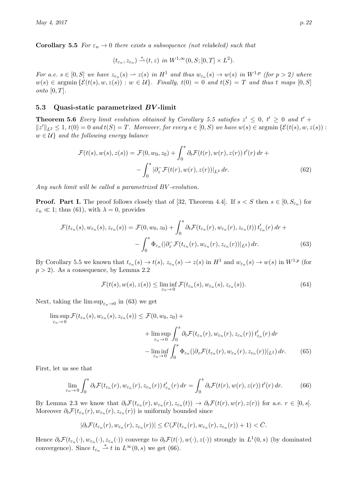**Corollary 5.5** For  $\varepsilon_n \to 0$  there exists a subsequence (not relabeled) such that

<span id="page-21-6"></span>
$$
(t_{\varepsilon_n}, z_{\varepsilon_n}) \stackrel{*}{\rightharpoonup} (t, z) \text{ in } W^{1,\infty}(0, S; [0, T] \times L^2).
$$

For a.e.  $s \in [0, S]$  we have  $z_{\varepsilon_n}(s) \to z(s)$  in  $H^1$  and thus  $w_{\varepsilon_n}(s) \to w(s)$  in  $W^{1,p}$  (for  $p > 2$ ) where  $w(s) \in \text{argmin} \left\{ \mathcal{E}(t(s), w, z(s)) : w \in \mathcal{U} \right\}$ . Finally,  $t(0) = 0$  and  $t(S) = T$  and thus t maps  $[0, S]$ onto  $[0, T]$ .

#### <span id="page-21-0"></span>5.3 Quasi-static parametrized BV -limit

<span id="page-21-4"></span>**Theorem 5.6** Every limit evolution obtained by Corollary [5.5](#page-20-0) satisfies  $z' \leq 0$ ,  $t' \geq 0$  and  $t' +$  $||z'||_{L^2} \leq 1$ ,  $t(0) = 0$  and  $t(S) = T$ . Moreover, for every  $s \in [0, S)$  we have  $w(s) \in \mathop{\rm argmin}\left\{ \mathcal{E}(t(s), w, z(s)) :$  $w \in \mathcal{U}$  and the following energy balance

$$
\mathcal{F}(t(s), w(s), z(s)) = \mathcal{F}(0, w_0, z_0) + \int_0^s \partial_t \mathcal{F}(t(r), w(r), z(r)) t'(r) dr + - \int_0^s |\partial_z \mathcal{F}(t(r), w(r), z(r))|_{L^2} dr.
$$
\n(62)

Any such limit will be called a parametrized BV -evolution.

**Proof. Part I.** The proof follows closely that of [\[32,](#page-30-10) Theorem 4.4]. If  $s < S$  then  $s \in [0, S_{\varepsilon_n})$  for  $\varepsilon_n \ll 1$ ; thus [\(61\)](#page-20-1), with  $\lambda = 0$ , provides

$$
\mathcal{F}(t_{\varepsilon_n}(s), w_{\varepsilon_n}(s), z_{\varepsilon_n}(s)) = \mathcal{F}(0, w_0, z_0) + \int_0^s \partial_t \mathcal{F}(t_{\varepsilon_n}(r), w_{\varepsilon_n}(r), z_{\varepsilon_n}(t)) t'_{\varepsilon_n}(r) dr + - \int_0^s \Phi_{\varepsilon_n}(|\partial_z \mathcal{F}(t_{\varepsilon_n}(r), w_{\varepsilon_n}(r), z_{\varepsilon_n}(r))|_{L^2}) dr.
$$
\n(63)

By Corollary [5.5](#page-20-0) we known that  $t_{\varepsilon_n}(s) \to t(s)$ ,  $z_{\varepsilon_n}(s) \to z(s)$  in  $H^1$  and  $w_{\varepsilon_n}(s) \to w(s)$  in  $W^{1,p}$  (for  $p > 2$ ). As a consequence, by Lemma [2.2](#page-4-2)

<span id="page-21-5"></span><span id="page-21-3"></span><span id="page-21-1"></span>
$$
\mathcal{F}(t(s), w(s), z(s)) \leq \liminf_{\varepsilon_n \to 0} \mathcal{F}(t_{\varepsilon_n}(s), w_{\varepsilon_n}(s), z_{\varepsilon_n}(s)).
$$
\n(64)

Next, taking the  $\limsup_{\varepsilon_n \to 0}$  in [\(63\)](#page-21-1) we get

$$
\limsup_{\varepsilon_n \to 0} \mathcal{F}(t_{\varepsilon_n}(s), w_{\varepsilon_n}(s), z_{\varepsilon_n}(s)) \le \mathcal{F}(0, w_0, z_0) + \n+ \limsup_{\varepsilon_n \to 0} \int_0^s \partial_t \mathcal{F}(t_{\varepsilon_n}(r), w_{\varepsilon_n}(r), z_{\varepsilon_n}(r)) t'_{\varepsilon_n}(r) dr\n- \liminf_{\varepsilon_n \to 0} \int_0^s \Phi_{\varepsilon_n}(|\partial_z \mathcal{F}(t_{\varepsilon_n}(r), w_{\varepsilon_n}(r), z_{\varepsilon_n}(r))|_{L^2}) dr.
$$
\n(65)

First, let us see that

<span id="page-21-2"></span>
$$
\lim_{\varepsilon_n \to 0} \int_0^s \partial_t \mathcal{F}(t_{\varepsilon_n}(r), w_{\varepsilon_n}(r), z_{\varepsilon_n}(r)) t'_{\varepsilon_n}(r) dr = \int_0^s \partial_t \mathcal{F}(t(r), w(r), z(r)) t'(r) dr.
$$
 (66)

By Lemma [2.3](#page-5-3) we know that  $\partial_t \mathcal{F}(t_{\varepsilon_n}(r), w_{\varepsilon_n}(r), z_{\varepsilon_n}(t)) \to \partial_t \mathcal{F}(t(r), w(r), z(r))$  for a.e.  $r \in [0, s]$ . Moreover  $\partial_t \mathcal{F}(t_{\varepsilon_n}(r), w_{\varepsilon_n}(r), z_{\varepsilon_n}(r))$  is uniformly bounded since

$$
|\partial_t \mathcal{F}(t_{\varepsilon_n}(r), w_{\varepsilon_n}(r), z_{\varepsilon_n}(r))| \leq C(\mathcal{F}(t_{\varepsilon_n}(r), w_{\varepsilon_n}(r), z_{\varepsilon_n}(r)) + 1) < \bar{C}.
$$

Hence  $\partial_t \mathcal{F}(t_{\varepsilon_n}(\cdot), w_{\varepsilon_n}(\cdot), z_{\varepsilon_n}(\cdot))$  converge to  $\partial_t \mathcal{F}(t(\cdot), w(\cdot), z(\cdot))$  strongly in  $L^1(0, s)$  (by dominated convergence). Since  $t_{\varepsilon_n} \stackrel{*}{\rightharpoonup} t$  in  $L^{\infty}(0, s)$  we get [\(66\)](#page-21-2).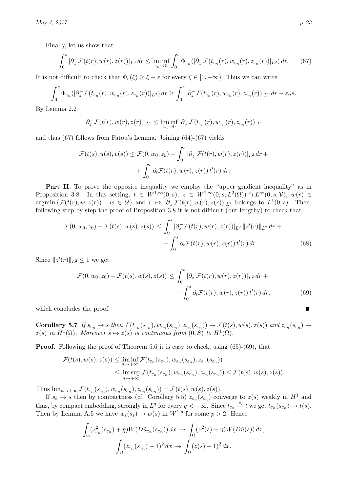Finally, let us show that

$$
\int_0^s |\partial_z^-\mathcal{F}(t(r),w(r),z(r))|_{L^2} dr \leq \liminf_{\varepsilon_n \to 0} \int_0^s \Phi_{\varepsilon_n}(|\partial_z^-\mathcal{F}(t_{\varepsilon_n}(r),w_{\varepsilon_n}(r),z_{\varepsilon_n}(r))|_{L^2}) dr.
$$
 (67)

It is not difficult to check that  $\Phi_{\varepsilon}(\xi) \geq \xi - \varepsilon$  for every  $\xi \in [0, +\infty)$ . Thus we can write

$$
\int_0^s \Phi_{\varepsilon_n}(|\partial_z^{\top} \mathcal{F}(t_{\varepsilon_n}(r), w_{\varepsilon_n}(r), z_{\varepsilon_n}(r))|_{L^2}) dr \geq \int_0^s |\partial_z^{\top} \mathcal{F}(t_{\varepsilon_n}(r), w_{\varepsilon_n}(r), z_{\varepsilon_n}(r))|_{L^2} dr - \varepsilon_n s.
$$

By Lemma [2.2](#page-4-2)

<span id="page-22-0"></span>
$$
|\partial_z^-\mathcal{F}(t(r),w(r),z(r))|_{L^2}\leq \liminf_{\varepsilon_n\to 0}|\partial_v^-\mathcal{F}(t_{\varepsilon_n}(r),w_{\varepsilon_n}(r),z_{\varepsilon_n}(r))|_{L^2}
$$

and thus [\(67\)](#page-22-0) follows from Fatou's Lemma. Joining [\(64\)](#page-21-3)-[\(67\)](#page-22-0) yields

$$
\mathcal{F}(t(s), u(s), v(s)) \leq \mathcal{F}(0, w_0, z_0) - \int_0^s |\partial_z^-\mathcal{F}(t(r), w(r), z(r))|_{L^2} dr + \int_0^s \partial_t \mathcal{F}(t(r), w(r), z(r)) t'(r) dr.
$$

Part II. To prove the opposite inequality we employ the "upper gradient inequality" as in Proposition [3.8.](#page-10-0) In this setting,  $t \in W^{1,\infty}(0,s)$ ,  $z \in W^{1,\infty}(0,s;L^2(\Omega)) \cap L^{\infty}(0,s;\mathcal{V})$ ,  $w(r) \in$  $\argmin \{ \mathcal{F}(t(r), w, z(r)) : w \in \mathcal{U} \}$  and  $r \mapsto |\partial_z^{\top} \mathcal{F}(t(r), w(r), z(r))|_{L^2}$  belongs to  $L^1(0, s)$ . Then, following step by step the proof of Proposition [3.8](#page-10-0) it is not difficult (but lengthy) to check that

<span id="page-22-2"></span>
$$
\mathcal{F}(0, w_0, z_0) - \mathcal{F}(t(s), w(s), z(s)) \le \int_0^s |\partial_z^-\mathcal{F}(t(r), w(r), z(r))|_{L^2} ||z'(r)||_{L^2} dr + - \int_0^s \partial_t \mathcal{F}(t(r), w(r), z(r)) t'(r) dr.
$$
\n(68)

Since  $||z'(r)||_{L^2} \leq 1$  we get

<span id="page-22-1"></span>
$$
\mathcal{F}(0, w_0, z_0) - \mathcal{F}(t(s), w(s), z(s)) \le \int_0^s |\partial_z^-\mathcal{F}(t(r), w(r), z(r))|_{L^2} dr + - \int_0^s \partial_t \mathcal{F}(t(r), w(r), z(r)) t'(r) dr,
$$
\n(69)

which concludes the proof.

<span id="page-22-3"></span>Corollary 5.7 If  $s_{\varepsilon_n} \to s$  then  $\mathcal{F}(t_{\varepsilon_n}(s_{\varepsilon_n}), w_{\varepsilon_n}(s_{\varepsilon_n}), z_{\varepsilon_n}(s_{\varepsilon_n})) \to \mathcal{F}(t(s), w(s), z(s))$  and  $z_{\varepsilon_n}(s_{\varepsilon_n}) \to$  $z(s)$  in  $H^1(\Omega)$ . Moreover  $s \mapsto z(s)$  is continuous from  $(0, S)$  to  $H^1(\Omega)$ .

Proof. Following the proof of Theorem [5.6](#page-21-4) it is easy to check, using [\(65\)](#page-21-5)-[\(69\)](#page-22-1), that

$$
\mathcal{F}(t(s), w(s), z(s)) \leq \liminf_{n \to +\infty} \mathcal{F}(t_{\varepsilon_n}(s_{\varepsilon_n}), w_{\varepsilon_n}(s_{\varepsilon_n}), z_{\varepsilon_n}(s_{\varepsilon_n}))
$$
  

$$
\leq \limsup_{n \to +\infty} \mathcal{F}(t_{\varepsilon_n}(s_{\varepsilon_n}), w_{\varepsilon_n}(s_{\varepsilon_n}), z_{\varepsilon_n}(s_{\varepsilon_n})) \leq \mathcal{F}(t(s), w(s), z(s)).
$$

Thus  $\lim_{n\to+\infty} \mathcal{F}(t_{\varepsilon_n}(s_{\varepsilon_n}), w_{\varepsilon_n}(s_{\varepsilon_n}), z_{\varepsilon_n}(s_{\varepsilon_n})) = \mathcal{F}(t(s), w(s), z(s)).$ 

If  $s_{\varepsilon} \to s$  then by compactness (cf. Corollary [5.5\)](#page-20-0)  $z_{\varepsilon_n}(s_{\varepsilon_n})$  converge to  $z(s)$  weakly in  $H^1$  and thus, by compact embedding, strongly in  $L^q$  for every  $q < +\infty$ . Since  $t_{\varepsilon_n} \overset{*}{\rightharpoonup} t$  we get  $t_{\varepsilon_n}(s_{\varepsilon_n}) \to t(s)$ . Then by Lemma [A.5](#page-28-3) we have  $w_{\varepsilon}(s_{\varepsilon}) \to w(s)$  in  $W^{1,p}$  for some  $p > 2$ . Hence

$$
\int_{\Omega} (z_{\varepsilon_n}^2 (s_{\varepsilon_n}) + \eta) W(D\tilde{u}_{\varepsilon_n}(s_{\varepsilon_n})) dx \to \int_{\Omega} (z^2(s) + \eta) W(D\tilde{u}(s)) dx,
$$

$$
\int_{\Omega} (z_{\varepsilon_n} (s_{\varepsilon_n}) - 1)^2 dx \to \int_{\Omega} (z(s) - 1)^2 dx.
$$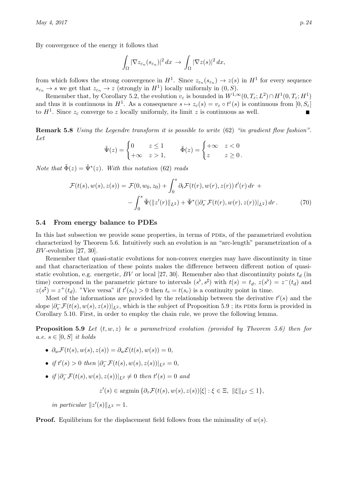By convergence of the energy it follows that

$$
\int_{\Omega} |\nabla z_{\varepsilon_n}(s_{\varepsilon_n})|^2 dx \to \int_{\Omega} |\nabla z(s)|^2 dx,
$$

from which follows the strong convergence in  $H^1$ . Since  $z_{\varepsilon_n}(s_{\varepsilon_n}) \to z(s)$  in  $H^1$  for every sequence  $s_{\varepsilon_n} \to s$  we get that  $z_{\varepsilon_n} \to z$  (strongly in  $H^1$ ) locally uniformly in  $(0, S)$ .

Remember that, by Corollary [5.2,](#page-19-4) the evolution  $v_{\varepsilon}$  is bounded in  $W^{1,\infty}(0,T_{\varepsilon};L^2) \cap H^1(0,T_{\varepsilon};H^1)$ and thus it is continuous in  $H^1$ . As a consequence  $s \mapsto z_\varepsilon(s) = v_\varepsilon \circ t^\varepsilon(s)$  is continuous from  $[0, S_\varepsilon]$ to  $H^1$ . Since  $z_{\varepsilon}$  converge to z locally uniformly, its limit z is continuous as well.

Remark 5.8 Using the Legendre transform it is possible to write [\(62\)](#page-21-6) "in gradient flow fashion". Let

$$
\tilde{\Psi}(z) = \begin{cases} 0 & z \le 1 \\ +\infty & z > 1, \end{cases} \qquad \tilde{\Phi}(z) = \begin{cases} +\infty & z < 0 \\ z & z \ge 0 \end{cases}.
$$

Note that  $\tilde{\Phi}(z) = \tilde{\Psi}^*(z)$ . With this notation [\(62\)](#page-21-6) reads

$$
\mathcal{F}(t(s), w(s), z(s)) = \mathcal{F}(0, w_0, z_0) + \int_0^s \partial_t \mathcal{F}(t(r), w(r), z(r)) t'(r) dr + - \int_0^s \tilde{\Psi}(\|z'(r)\|_{L^2}) + \tilde{\Psi}^*(|\partial_v \mathcal{F}(t(r), w(r), z(r))|_{L^2}) dr.
$$
 (70)

#### <span id="page-23-0"></span>5.4 From energy balance to PDEs

In this last subsection we provide some properties, in terms of PDEs, of the parametrized evolution characterized by Theorem [5.6.](#page-21-4) Intuitively such an evolution is an "arc-length" parametrization of a  $BV$ -evolution [\[27,](#page-30-14) [30\]](#page-30-15).

Remember that quasi-static evolutions for non-convex energies may have discontinuity in time and that characterization of these points makes the difference between different notion of quasi-static evolution, e.g. energetic, BV or local [\[27,](#page-30-14) [30\]](#page-30-15). Remember also that discontinuity points  $t_d$  (in time) correspond in the parametric picture to intervals  $(s^{\flat}, s^{\sharp})$  with  $t(s) = t_d$ ,  $z(s^{\flat}) = z^{-}(t_d)$  and  $z(s^{\sharp}) = z^{+}(t_{d})$ . "Vice versa" if  $t'(s_{c}) > 0$  then  $t_{c} = t(s_{c})$  is a continuity point in time.

Most of the informations are provided by the relationship between the derivative  $t'(s)$  and the slope  $|\partial_v^-\mathcal{F}(t(s),w(s),z(s))|_{L^2}$ , which is the subject of Proposition [5.9](#page-23-1); its PDEs form is provided in Corollary [5.10.](#page-25-3) First, in order to employ the chain rule, we prove the following lemma.

<span id="page-23-1"></span>**Proposition 5.9** Let  $(t, w, z)$  be a parametrized evolution (provided by Theorem [5.6\)](#page-21-4) then for a.e.  $s \in [0, S]$  it holds

- $\partial_w \mathcal{F}(t(s), w(s), z(s)) = \partial_w \mathcal{E}(t(s), w(s)) = 0,$
- if  $t'(s) > 0$  then  $|\partial_z^-\mathcal{F}(t(s), w(s), z(s))|_{L^2} = 0$ ,
- if  $|\partial_z^-\mathcal{F}(t(s),w(s),z(s))|_{L^2}\neq 0$  then  $t'(s)=0$  and

 $z'(s) \in \operatorname{argmin} \{ \partial_z \mathcal{F}(t(s), w(s), z(s))[\xi] : \xi \in \Xi, \|\xi\|_{L^2} \leq 1 \},$ 

in particular  $||z'(s)||_{L^2} = 1$ .

**Proof.** Equilibrium for the displacement field follows from the minimality of  $w(s)$ .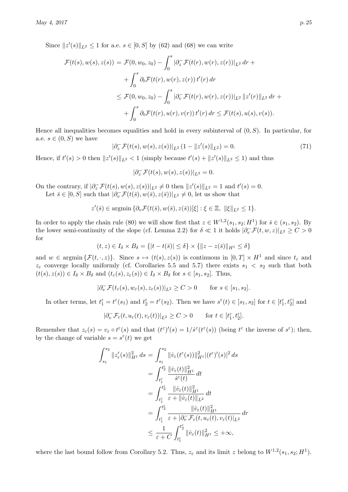Since  $||z'(s)||_{L^2} \le 1$  for a.e.  $s \in [0, S]$  by [\(62\)](#page-21-6) and [\(68\)](#page-22-2) we can write

$$
\mathcal{F}(t(s), w(s), z(s)) = \mathcal{F}(0, w_0, z_0) - \int_0^s |\partial_z^-\mathcal{F}(t(r), w(r), z(r))|_{L^2} dr + \n+ \int_0^s \partial_t \mathcal{F}(t(r), w(r), z(r)) t'(r) dr \n\leq \mathcal{F}(0, w_0, z_0) - \int_0^s |\partial_v^-\mathcal{F}(t(r), w(r), z(r))|_{L^2} ||z'(r)||_{L^2} dr + \n+ \int_0^s \partial_t \mathcal{F}(t(r), u(r), v(r)) t'(r) dr \leq \mathcal{F}(t(s), u(s), v(s)).
$$

Hence all inequalities becomes equalities and hold in every subinterval of  $(0, S)$ . In particular, for a.e.  $s \in (0, S)$  we have

$$
|\partial_z^-\mathcal{F}(t(s),w(s),z(s))|_{L^2}(1-\|z'(s)\|_{L^2})=0.
$$
\n(71)

Hence, if  $t'(s) > 0$  then  $||z'(s)||_{L^2} < 1$  (simply because  $t'(s) + ||z'(s)||_{L^2} \le 1$ ) and thus

$$
|\partial_z^- \mathcal{F}(t(s), w(s), z(s))|_{L^2} = 0.
$$

On the contrary, if  $|\partial_z^-\mathcal{F}(t(s),w(s),z(s))|_{L^2}\neq 0$  then  $||z'(s)||_{L^2}=1$  and  $t'(s)=0$ . Let  $\bar{s} \in [0, S]$  such that  $|\partial_v^- \mathcal{F}(t(\bar{s}), w(\bar{s}), z(\bar{s}))|_{L^2} \neq 0$ , let us show that

$$
z'(\bar{s}) \in \operatorname{argmin} \{ \partial_v \mathcal{F}(t(\bar{s}), w(\bar{s}), z(\bar{s}))[\xi] : \xi \in \Xi, \|\xi\|_{L^2} \le 1 \}.
$$

In order to apply the chain rule [\(80\)](#page-28-4) we will show first that  $z \in W^{1,2}(s_1, s_2; H^1)$  for  $\overline{s} \in (s_1, s_2)$ . By the lower semi-continuity of the slope (cf. Lemma [2.2\)](#page-4-2) for  $\delta \ll 1$  it holds  $|\partial_v^-\mathcal{F}(t,w,z)|_{L^2} \geq C > 0$ for

$$
(t,z) \in I_{\delta} \times B_{\delta} = \{|t - t(\bar{s})| \le \delta\} \times \{|z - z(\bar{s})\|_{H^1} \le \delta\}
$$

and  $w \in \operatorname{argmin} \{\mathcal{F}(t, \cdot, z)\}.$  Since  $s \mapsto (t(s), z(s))$  is continuous in  $[0, T] \times H^1$  and since  $t_{\varepsilon}$  and  $z_{\varepsilon}$  converge locally uniformly (cf. Corollaries [5.5](#page-20-0) and [5.7\)](#page-22-3) there exists  $s_1 < s_2$  such that both  $(t(s), z(s)) \in I_{\delta} \times B_{\delta}$  and  $(t_{\varepsilon}(s), z_{\varepsilon}(s)) \in I_{\delta} \times B_{\delta}$  for  $s \in [s_1, s_2]$ . Thus,

$$
|\partial^-_v \mathcal{F}(t_\varepsilon(s),w_\varepsilon(s),z_\varepsilon(s))|_{L^2}\geq C>0\qquad\text{for $s\in [s_1,s_2]$.}
$$

In other terms, let  $t_1^{\varepsilon} = t^{\varepsilon}(s_1)$  and  $t_2^{\varepsilon} = t^{\varepsilon}(s_2)$ . Then we have  $s^{\varepsilon}(t) \in [s_1, s_2]$  for  $t \in [t_1^{\varepsilon}, t_2^{\varepsilon}]$  and

$$
|\partial^-_v \mathcal{F}_{\varepsilon}(t, u_{\varepsilon}(t), v_{\varepsilon}(t))|_{L^2} \ge C > 0 \quad \text{for } t \in [t_1^{\varepsilon}, t_2^{\varepsilon}].
$$

Remember that  $z_{\varepsilon}(s) = v_{\varepsilon} \circ t^{\varepsilon}(s)$  and that  $(t^{\varepsilon})'(s) = 1/\dot{s}^{\varepsilon}(t^{\varepsilon}(s))$  (being  $t^{\varepsilon}$  the inverse of  $s^{\varepsilon}$ ); then, by the change of variable  $s = s^{\varepsilon}(t)$  we get

$$
\int_{s_1}^{s_2} ||z'_{\varepsilon}(s)||_{H^1}^2 ds = \int_{s_1}^{s_2} ||\dot{v}_{\varepsilon}(t^{\varepsilon}(s))||_{H^1}^2 |(t^{\varepsilon})'(s)|^2 ds \n= \int_{t^{\varepsilon}_{1}}^{t^{\varepsilon}_{2}} \frac{||\dot{v}_{\varepsilon}(t)||_{H^1}^2}{\dot{s}^{\varepsilon}(t)} dt \n= \int_{t^{\varepsilon}_{1}}^{t^{\varepsilon}_{2}} \frac{||\dot{v}_{\varepsilon}(t)||_{H^1}^2}{\varepsilon + ||\dot{v}_{\varepsilon}(t)||_{L^2}^2} dt \n= \int_{t^{\varepsilon}_{1}}^{t^{\varepsilon}_{2}} \frac{||\dot{v}_{\varepsilon}(t)||_{H^1}^2}{\varepsilon + |\partial_v^- \mathcal{F}_{\varepsilon}(t, u_{\varepsilon}(t), v_{\varepsilon}(t)||_{L^2}^2} dr \n\leq \frac{1}{\varepsilon + C} \int_{t^{\varepsilon}_{1}}^{t^{\varepsilon}_{2}} ||\dot{v}_{\varepsilon}(t)||_{H^1}^2 \leq +\infty,
$$

where the last bound follow from Corollary [5.2.](#page-19-4) Thus,  $z_{\varepsilon}$  and its limit z belong to  $W^{1,2}(s_1, s_2; H^1)$ .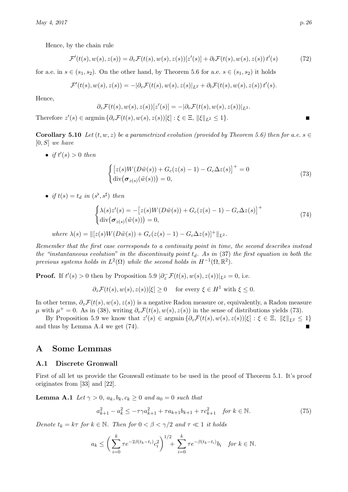Hence, by the chain rule

$$
\mathcal{F}'(t(s), w(s), z(s)) = \partial_z \mathcal{F}(t(s), w(s), z(s))[z'(s)] + \partial_t \mathcal{F}(t(s), w(s), z(s)) t'(s)
$$
\n(72)

for a.e. in  $s \in (s_1, s_2)$ . On the other hand, by Theorem [5.6](#page-21-4) for a.e.  $s \in (s_1, s_2)$  it holds

$$
\mathcal{F}'(t(s),w(s),z(s)) = -|\partial_v \mathcal{F}(t(s),w(s),z(s)|_{L^2} + \partial_t \mathcal{F}(t(s),w(s),z(s)) t'(s).
$$

Hence,

$$
\partial_z \mathcal{F}(t(s), w(s), z(s))[z'(s)] = -[\partial_v \mathcal{F}(t(s), w(s), z(s))]_{L^2}.
$$

Therefore  $z'(s) \in \text{argmin} \, \{ \partial_v \mathcal{F}(t(s), w(s), z(s))[\xi] : \xi \in \Xi, ||\xi||_{L^2} \leq 1 \}.$ 

<span id="page-25-3"></span>**Corollary 5.10** Let  $(t, w, z)$  be a parametrized evolution (provided by Theorem [5.6\)](#page-21-4) then for a.e.  $s \in \mathbb{R}$  $[0, S]$  we have

• if  $t'(s) > 0$  then

<span id="page-25-5"></span><span id="page-25-4"></span>
$$
\begin{cases}\n\left[z(s)W(D\tilde{w}(s)) + G_c(z(s) - 1) - G_c\Delta z(s)\right]^+ = 0\\ \ndiv\big(\sigma_{z(s)}(\tilde{w}(s))\big) = 0,\n\end{cases}
$$
\n(73)

• if  $t(s) = t_d$  in  $(s^{\flat}, s^{\sharp})$  then

$$
\begin{cases}\n\lambda(s)z'(s) = -[z(s)W(D\tilde{w}(s)) + G_c(z(s) - 1) - G_c\Delta z(s)]^+\n\end{cases}
$$
\n
$$
(74)
$$
\n
$$
\text{div}(\sigma_{z(s)}(\tilde{w}(s))) = 0,
$$

where 
$$
\lambda(s) = ||[z(s)W(D\tilde{w}(s)) + G_c(z(s) - 1) - G_c\Delta z(s)]^+||_{L^2}
$$
.

Remember that the first case corresponds to a continuity point in time, the second describes instead the "instantaneous evolution" in the discontinuity point  $t_d$ . As in [\(37\)](#page-13-2) the first equation in both the previous systems holds in  $L^2(\Omega)$  while the second holds in  $H^{-1}(\Omega,\mathbb{R}^2)$ .

**Proof.** If  $t'(s) > 0$  then by Proposition [5.9](#page-23-1)  $|\partial_z^-\mathcal{F}(t(s), w(s), z(s))|_{L^2} = 0$ , i.e.

 $\partial_z \mathcal{F}(t(s), w(s), z(s))[\xi] \geq 0$  for every  $\xi \in H^1$  with  $\xi \leq 0$ .

In other terms,  $\partial_z \mathcal{F}(t(s), w(s), z(s))$  is a negative Radon measure or, equivalently, a Radon measure  $\mu$  with  $\mu^+ = 0$ . As in [\(38\)](#page-14-5), writing  $\partial_v \mathcal{F}(t(s), w(s), z(s))$  in the sense of distributions yields [\(73\)](#page-25-4).

By Proposition [5.9](#page-23-1) we know that  $z'(s) \in \operatorname{argmin} \{ \partial_z \mathcal{F}(t(s), w(s), z(s))[\xi] : \xi \in \Xi, ||\xi||_{L^2} \leq 1 \}$ and thus by Lemma [A.4](#page-27-2) we get [\(74\)](#page-25-5).

## <span id="page-25-0"></span>A Some Lemmas

#### <span id="page-25-1"></span>A.1 Discrete Gronwall

First of all let us provide the Gronwall estimate to be used in the proof of Theorem [5.1.](#page-15-2) It's proof originates from [\[33\]](#page-30-11) and [\[22\]](#page-30-8).

<span id="page-25-2"></span>**Lemma A.1** Let  $\gamma > 0$ ,  $a_k, b_k, c_k \geq 0$  and  $a_0 = 0$  such that

<span id="page-25-6"></span>
$$
a_{k+1}^2 - a_k^2 \le -\tau \gamma a_{k+1}^2 + \tau a_{k+1} b_{k+1} + \tau c_{k+1}^2 \quad \text{for } k \in \mathbb{N}.
$$
 (75)

Denote  $t_k = k\tau$  for  $k \in \mathbb{N}$ . Then for  $0 < \beta < \gamma/2$  and  $\tau \ll 1$  it holds

$$
a_k \le \left(\sum_{i=0}^k \tau e^{-2\beta(t_k - t_i)} c_i^2\right)^{1/2} + \sum_{i=0}^k \tau e^{-\beta(t_k - t_i)} b_i \quad \text{for } k \in \mathbb{N}.
$$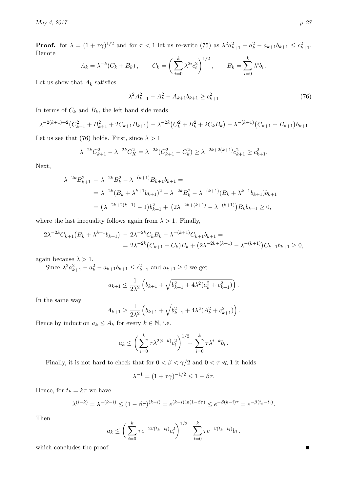**Proof.** for  $\lambda = (1 + \tau \gamma)^{1/2}$  and for  $\tau < 1$  let us re-write [\(75\)](#page-25-6) as  $\lambda^2 a_{k+1}^2 - a_k^2 - a_{k+1} b_{k+1} \le c_{k+1}^2$ . Denote

$$
A_k = \lambda^{-k} (C_k + B_k),
$$
  $C_k = \left(\sum_{i=0}^k \lambda^{2i} c_i^2\right)^{1/2},$   $B_k = \sum_{i=0}^k \lambda^i b_i.$ 

Let us show that  $\mathcal{A}_k$  satisfies

<span id="page-26-0"></span>
$$
\lambda^2 A_{k+1}^2 - A_k^2 - A_{k+1} b_{k+1} \ge c_{k+1}^2 \tag{76}
$$

In terms of  $C_k$  and  $B_k$ , the left hand side reads

$$
\lambda^{-2(k+1)+2} (C_{k+1}^2 + B_{k+1}^2 + 2C_{k+1}B_{k+1}) - \lambda^{-2k} (C_k^2 + B_k^2 + 2C_kB_k) - \lambda^{-(k+1)}(C_{k+1} + B_{k+1})b_{k+1}
$$

Let us see that [\(76\)](#page-26-0) holds. First, since  $\lambda > 1$ 

$$
\lambda^{-2k} C_{k+1}^2 - \lambda^{-2k} C_K^2 = \lambda^{-2k} (C_{k+1}^2 - C_k^2) \ge \lambda^{-2k+2(k+1)} c_{k+1}^2 \ge c_{k+1}^2.
$$

Next,

$$
\lambda^{-2k} B_{k+1}^2 - \lambda^{-2k} B_k^2 - \lambda^{-(k+1)} B_{k+1} b_{k+1} =
$$
  
= 
$$
\lambda^{-2k} (B_k + \lambda^{k+1} b_{k+1})^2 - \lambda^{-2k} B_k^2 - \lambda^{-(k+1)} (B_k + \lambda^{k+1} b_{k+1}) b_{k+1}
$$
  
= 
$$
(\lambda^{-2k+2(k+1)} - 1) b_{k+1}^2 + (2\lambda^{-2k+(k+1)} - \lambda^{-(k+1)}) B_k b_{k+1} \ge 0,
$$

where the last inequality follows again from  $\lambda > 1$ . Finally,

$$
2\lambda^{-2k}C_{k+1}(B_k + \lambda^{k+1}b_{k+1}) - 2\lambda^{-2k}C_kB_k - \lambda^{-(k+1)}C_{k+1}b_{k+1} =
$$
  
= 
$$
2\lambda^{-2k}(C_{k+1} - C_k)B_k + (2\lambda^{-2k+(k+1)} - \lambda^{-(k+1)})C_{k+1}b_{k+1} \ge 0,
$$

again because  $\lambda > 1$ .

Since  $\lambda^2 a_{k+1}^2 - a_k^2 - a_{k+1}b_{k+1} \le c_{k+1}^2$  and  $a_{k+1} \ge 0$  we get

$$
a_{k+1} \leq \frac{1}{2\lambda^2} \left( b_{k+1} + \sqrt{b_{k+1}^2 + 4\lambda^2 (a_k^2 + c_{k+1}^2)} \right).
$$

In the same way

$$
A_{k+1} \ge \frac{1}{2\lambda^2} \left( b_{k+1} + \sqrt{b_{k+1}^2 + 4\lambda^2 (A_k^2 + c_{k+1}^2)} \right).
$$

Hence by induction  $a_k \leq A_k$  for every  $k \in \mathbb{N}$ , i.e.

$$
a_k \leq \left(\sum_{i=0}^k \tau \lambda^{2(i-k)} c_i^2\right)^{1/2} + \sum_{i=0}^k \tau \lambda^{i-k} b_i.
$$

Finally, it is not hard to check that for  $0 < \beta < \gamma/2$  and  $0 < \tau \ll 1$  it holds

$$
\lambda^{-1} = (1 + \tau \gamma)^{-1/2} \le 1 - \beta \tau.
$$

Hence, for  $t_k = k\tau$  we have

$$
\lambda^{(i-k)} = \lambda^{-(k-i)} \le (1 - \beta \tau)^{(k-i)} = e^{(k-i)\ln(1-\beta\tau)} \le e^{-\beta(k-i)\tau} = e^{-\beta(t_k - t_i)}.
$$

Then

$$
a_k \leq \left(\sum_{i=0}^k \tau e^{-2\beta(t_k - t_i)} c_i^2\right)^{1/2} + \sum_{i=0}^k \tau e^{-\beta(t_k - t_i)} b_i.
$$

which concludes the proof.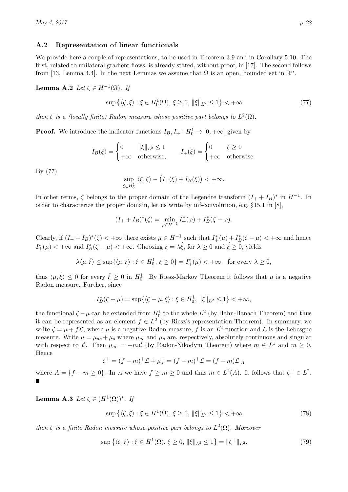## <span id="page-27-0"></span>A.2 Representation of linear functionals

We provide here a couple of representations, to be used in Theorem [3.9](#page-13-1) and in Corollary [5.10.](#page-25-3) The first, related to unilateral gradient flows, is already stated, without proof, in [\[17\]](#page-29-15). The second follows from [\[13,](#page-29-16) Lemma 4.4]. In the next Lemmas we assume that  $\Omega$  is an open, bounded set in  $\mathbb{R}^n$ .

**Lemma A.2** Let  $\zeta \in H^{-1}(\Omega)$ . If

<span id="page-27-3"></span>
$$
\sup\left\{\langle\zeta,\xi\rangle:\xi\in H_0^1(\Omega),\,\xi\geq 0,\,\|\xi\|_{L^2}\leq 1\right\}<+\infty\tag{77}
$$

then  $\zeta$  is a (locally finite) Radon measure whose positive part belongs to  $L^2(\Omega)$ .

**Proof.** We introduce the indicator functions  $I_B, I_+ : H_0^1 \to [0, +\infty]$  given by

$$
I_B(\xi) = \begin{cases} 0 & \|\xi\|_{L^2} \le 1 \\ +\infty & \text{otherwise,} \end{cases} \qquad I_+(\xi) = \begin{cases} 0 & \xi \ge 0 \\ +\infty & \text{otherwise.} \end{cases}
$$

By [\(77\)](#page-27-3)

$$
\sup_{\xi \in H_0^1} \langle \zeta, \xi \rangle - \big( I_+(\xi) + I_B(\xi) \big) < +\infty.
$$

In other terms,  $\zeta$  belongs to the proper domain of the Legendre transform  $(I_{+} + I_{B})^*$  in  $H^{-1}$ . In order to characterize the proper domain, let us write by inf-convolution, e.g. §15.1 in [\[8\]](#page-29-17),

$$
(I_{+} + I_{B})^{*}(\zeta) = \min_{\varphi \in H^{-1}} I_{+}^{*}(\varphi) + I_{B}^{*}(\zeta - \varphi).
$$

Clearly, if  $(I_+ + I_B)^*(\zeta) < +\infty$  there exists  $\mu \in H^{-1}$  such that  $I_+^*(\mu) + I_B^*(\zeta - \mu) < +\infty$  and hence  $I_{+}^{*}(\mu) < +\infty$  and  $I_{B}^{*}(\zeta - \mu) < +\infty$ . Choosing  $\xi = \lambda \hat{\xi}$ , for  $\lambda \geq 0$  and  $\hat{\xi} \geq 0$ , yields

$$
\lambda \langle \mu, \hat{\xi} \rangle \le \sup \{ \langle \mu, \xi \rangle : \xi \in H_0^1, \, \xi \ge 0 \} = I_+^*(\mu) < +\infty \quad \text{for every } \lambda \ge 0,
$$

thus  $\langle \mu, \hat{\xi} \rangle \leq 0$  for every  $\hat{\xi} \geq 0$  in  $H_0^1$ . By Riesz-Markov Theorem it follows that  $\mu$  is a negative Radon measure. Further, since

$$
I^*_{B}(\zeta-\mu)=\sup \{\langle \zeta-\mu, \xi \rangle : \xi \in H^1_0, \, \|\xi\|_{L^2} \leq 1 \} < +\infty,
$$

the functional  $\zeta - \mu$  can be extended from  $H_0^1$  to the whole  $L^2$  (by Hahn-Banach Theorem) and thus it can be represented as an element  $f \in L^2$  (by Riesz's representation Theorem). In summary, we write  $\zeta = \mu + f\mathcal{L}$ , where  $\mu$  is a negative Radon measure, f is an  $L^2$ -function and  $\mathcal{L}$  is the Lebesgue measure. Write  $\mu = \mu_{ac} + \mu_s$  where  $\mu_{ac}$  and  $\mu_s$  are, respectively, absolutely continuous and singular with respect to L. Then  $\mu_{ac} = -m\mathcal{L}$  (by Radon-Nikodym Theorem) where  $m \in L^1$  and  $m \geq 0$ . Hence

$$
\zeta^+ = (f - m)^+ \mathcal{L} + \mu_s^+ = (f - m)^+ \mathcal{L} = (f - m) \mathcal{L}_{|A}
$$

where  $A = \{f - m \ge 0\}$ . In A we have  $f \ge m \ge 0$  and thus  $m \in L^2(A)$ . It follows that  $\zeta^+ \in L^2$ .

<span id="page-27-1"></span>**Lemma A.3** Let  $\zeta \in (H^1(\Omega))^*$ . If

$$
\sup\left\{\langle\zeta,\xi\rangle:\xi\in H^1(\Omega),\,\xi\geq 0,\,\|\xi\|_{L^2}\leq 1\right\}<+\infty\tag{78}
$$

<span id="page-27-2"></span>then  $\zeta$  is a finite Radon measure whose positive part belongs to  $L^2(\Omega)$ . Moreover

$$
\sup\left\{\langle\zeta,\xi\rangle:\xi\in H^1(\Omega),\,\xi\geq 0,\,\|\xi\|_{L^2}\leq 1\right\}=\|\zeta^+\|_{L^2}.\tag{79}
$$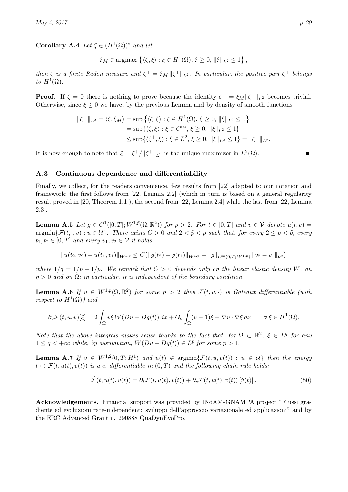Corollary A.4 Let  $\zeta \in (H^1(\Omega))^*$  and let

$$
\xi_M \in \text{argmax} \left\{ \langle \zeta, \xi \rangle : \xi \in H^1(\Omega), \, \xi \ge 0, \, \|\xi\|_{L^2} \le 1 \right\},\
$$

then  $\zeta$  is a finite Radon measure and  $\zeta^+ = \xi_M ||\zeta^+||_{L^2}$ . In particular, the positive part  $\zeta^+$  belongs to  $H^1(\Omega)$ .

**Proof.** If  $\zeta = 0$  there is nothing to prove because the identity  $\zeta^+ = \zeta_M ||\zeta^+||_{L^2}$  becomes trivial. Otherwise, since  $\xi \geq 0$  we have, by the previous Lemma and by density of smooth functions

$$
\|\zeta^+\|_{L^2} = \langle \zeta, \xi_M \rangle = \sup \left\{ \langle \zeta, \xi \rangle : \xi \in H^1(\Omega), \xi \ge 0, \|\xi\|_{L^2} \le 1 \right\}
$$
  
= 
$$
\sup \{ \langle \zeta, \xi \rangle : \xi \in C^\infty, \xi \ge 0, \|\xi\|_{L^2} \le 1 \}
$$
  

$$
\le \sup \{ \langle \zeta^+, \xi \rangle : \xi \in L^2, \xi \ge 0, \|\xi\|_{L^2} \le 1 \} = \|\zeta^+\|_{L^2}.
$$

It is now enough to note that  $\xi = \zeta^+ / ||\zeta^+||_{L^2}$  is the unique maximizer in  $L^2(\Omega)$ .

## <span id="page-28-2"></span>A.3 Continuous dependence and differentiability

Finally, we collect, for the readers convenience, few results from [\[22\]](#page-30-8) adapted to our notation and framework; the first follows from [\[22,](#page-30-8) Lemma 2.2] (which in turn is based on a general regularity result proved in [\[20,](#page-30-16) Theorem 1.1]), the second from [\[22,](#page-30-8) Lemma 2.4] while the last from [\[22,](#page-30-8) Lemma 2.3].

<span id="page-28-3"></span>**Lemma A.5** Let  $g \in C^1([0,T]; W^{1,\bar{p}}(\Omega, \mathbb{R}^2))$  for  $\bar{p} > 2$ . For  $t \in [0,T]$  and  $v \in V$  denote  $u(t, v) =$  $\operatorname{argmin}\{\mathcal{F}(t, \cdot, v): u \in \mathcal{U}\}\$ . There exists  $C > 0$  and  $2 < \tilde{p} < \bar{p}$  such that: for every  $2 \le p < \tilde{p}$ , every  $t_1, t_2 \in [0, T]$  and every  $v_1, v_2 \in \mathcal{V}$  it holds

$$
||u(t_2, v_2) - u(t_1, v_1)||_{W^{1, p}} \leq C (||g(t_2) - g(t_1)||_{W^{1, p}} + ||g||_{L^{\infty}(0, T; W^{1, p})} ||v_2 - v_1||_{L^q})
$$

where  $1/q = 1/p - 1/\tilde{p}$ . We remark that  $C > 0$  depends only on the linear elastic density W, on  $\eta > 0$  and on  $\Omega$ ; in particular, it is independent of the boundary condition.

<span id="page-28-1"></span>**Lemma A.6** If  $u \in W^{1,p}(\Omega,\mathbb{R}^2)$  for some  $p > 2$  then  $\mathcal{F}(t,u,\cdot)$  is Gateaux differentiable (with respect to  $H^1(\Omega)$  and

$$
\partial_v \mathcal{F}(t, u, v)[\xi] = 2 \int_{\Omega} v\xi W(Du + Dg(t)) dx + G_c \int_{\Omega} (v - 1)\xi + \nabla v \cdot \nabla \xi dx \qquad \forall \xi \in H^1(\Omega).
$$

Note that the above integrals makes sense thanks to the fact that, for  $\Omega \subset \mathbb{R}^2$ ,  $\xi \in L^q$  for any  $1 \leq q < +\infty$  while, by assumption,  $W(Du + Dg(t)) \in L^p$  for some  $p > 1$ .

<span id="page-28-0"></span>**Lemma A.7** If  $v oldsymbol{\in} W^{1,2}(0,T;H^1)$  and  $u(t) \in \text{argmin}\{\mathcal{F}(t,u,v(t)) : u \in \mathcal{U}\}\)$  then the energy  $t \mapsto \mathcal{F}(t, u(t), v(t))$  is a.e. differentiable in  $(0, T)$  and the following chain rule holds:

<span id="page-28-4"></span>
$$
\dot{\mathcal{F}}(t, u(t), v(t)) = \partial_t \mathcal{F}(t, u(t), v(t)) + \partial_v \mathcal{F}(t, u(t), v(t)) [\dot{v}(t)]. \qquad (80)
$$

Acknowledgements. Financial support was provided by INdAM-GNAMPA project "Flussi gradiente ed evoluzioni rate-independent: sviluppi dell'approccio variazionale ed applicazioni" and by the ERC Advanced Grant n. 290888 QuaDynEvoPro.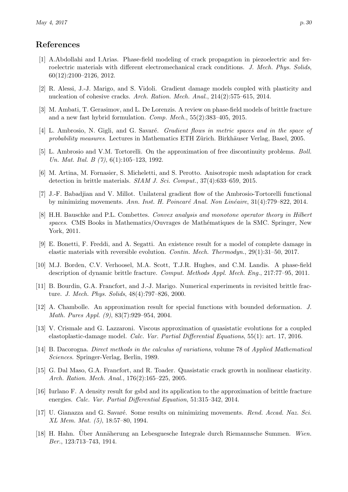## References

- <span id="page-29-10"></span>[1] A.Abdollahi and I.Arias. Phase-field modeling of crack propagation in piezoelectric and ferroelectric materials with different electromechanical crack conditions. J. Mech. Phys. Solids, 60(12):2100–2126, 2012.
- <span id="page-29-0"></span>[2] R. Alessi, J.-J. Marigo, and S. Vidoli. Gradient damage models coupled with plasticity and nucleation of cohesive cracks. Arch. Ration. Mech. Anal., 214(2):575–615, 2014.
- <span id="page-29-4"></span>[3] M. Ambati, T. Gerasimov, and L. De Lorenzis. A review on phase-field models of brittle fracture and a new fast hybrid formulation. Comp. Mech.,  $55(2):383-405$ , 2015.
- <span id="page-29-13"></span>[4] L. Ambrosio, N. Gigli, and G. Savaré. *Gradient flows in metric spaces and in the space of* probability measures. Lectures in Mathematics ETH Zürich. Birkhäuser Verlag, Basel, 2005.
- <span id="page-29-7"></span>[5] L. Ambrosio and V.M. Tortorelli. On the approximation of free discontinuity problems. Boll. Un. Mat. Ital. B (7), 6(1):105-123, 1992.
- <span id="page-29-1"></span>[6] M. Artina, M. Fornasier, S. Micheletti, and S. Perotto. Anisotropic mesh adaptation for crack detection in brittle materials. SIAM J. Sci. Comput., 37(4):633–659, 2015.
- <span id="page-29-8"></span>[7] J.-F. Babadjian and V. Millot. Unilateral gradient flow of the Ambrosio-Tortorelli functional by minimizing movements. Ann. Inst. H. Poincaré Anal. Non Linéaire,  $31(4)$ :779–822, 2014.
- <span id="page-29-17"></span>[8] H.H. Bauschke and P.L. Combettes. Convex analysis and monotone operator theory in Hilbert spaces. CMS Books in Mathematics/Ouvrages de Mathématiques de la SMC. Springer, New York, 2011.
- <span id="page-29-9"></span>[9] E. Bonetti, F. Freddi, and A. Segatti. An existence result for a model of complete damage in elastic materials with reversible evolution. Contin. Mech. Thermodyn., 29(1):31–50, 2017.
- <span id="page-29-2"></span>[10] M.J. Borden, C.V. Verhoosel, M.A. Scott, T.J.R. Hughes, and C.M. Landis. A phase-field description of dynamic brittle fracture. Comput. Methods Appl. Mech. Eng., 217:77–95, 2011.
- <span id="page-29-3"></span>[11] B. Bourdin, G.A. Francfort, and J.-J. Marigo. Numerical experiments in revisited brittle fracture. J. Mech. Phys. Solids, 48(4):797–826, 2000.
- <span id="page-29-5"></span>[12] A. Chambolle. An approximation result for special functions with bounded deformation. J. Math. Pures Appl. (9), 83(7):929–954, 2004.
- <span id="page-29-16"></span>[13] V. Crismale and G. Lazzaroni. Viscous approximation of quasistatic evolutions for a coupled elastoplastic-damage model. Calc. Var. Partial Differential Equations, 55(1): art. 17, 2016.
- <span id="page-29-12"></span>[14] B. Dacorogna. Direct methods in the calculus of variations, volume 78 of Applied Mathematical Sciences. Springer-Verlag, Berlin, 1989.
- <span id="page-29-11"></span>[15] G. Dal Maso, G.A. Francfort, and R. Toader. Quasistatic crack growth in nonlinear elasticity. Arch. Ration. Mech. Anal., 176(2):165–225, 2005.
- <span id="page-29-6"></span>[16] Iurlano F. A density result for gsbd and its application to the approximation of brittle fracture energies. Calc. Var. Partial Differential Equation, 51:315–342, 2014.
- <span id="page-29-15"></span>[17] U. Gianazza and G. Savaré. Some results on minimizing movements. Rend. Accad. Naz. Sci. XL Mem. Mat. (5), 18:57–80, 1994.
- <span id="page-29-14"></span>[18] H. Hahn. Über Annäherung an Lebesguesche Integrale durch Riemannsche Summen. Wien. Ber., 123:713–743, 1914.